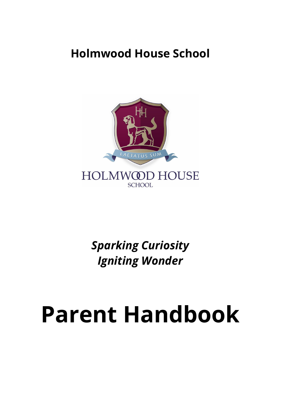# **Holmwood House School**



*Sparking Curiosity Igniting Wonder*

# **Parent Handbook**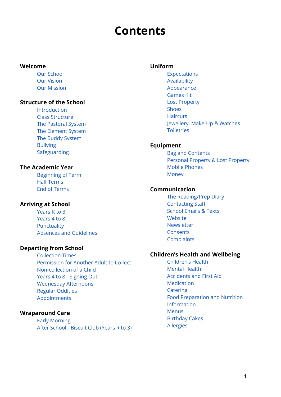# **Contents**

#### <span id="page-1-0"></span>**Welcome**

Our [School](#page-3-0) Our [Vision](#page-3-1) Our [Mission](#page-3-2)

#### **Structure of the School**

[Introduction](#page-4-0) Class [Structure](#page-4-1) The [Pastoral](#page-5-0) System The [Element](#page-5-1) System The Buddy [System](#page-5-2) [Bullying](#page-5-3) [Safeguarding](#page-6-0)

#### **The Academic Year**

[Beginning](#page-6-1) of Term Half [Terms](#page-6-2) End of [Terms](#page-6-3)

#### **Arriving at School**

[Years](#page-7-0) R to 3 [Years](#page-7-1) 4 to 8 [Punctuality](#page-8-0) Absences and [Guidelines](#page-8-1)

#### **Departing from School**

[Collection](#page-9-0) Times [Permission](#page-9-1) for Another Adult to Collect [Non-collection](#page-9-2) of a Child Years 4 to 8 - [Signing](#page-10-0) Out [Wednesday](#page-10-1) Afternoons Regular [Oddities](#page-10-2) [Appointments](#page-11-0)

## **Wraparound Care**

Early [Morning](#page-11-1) After [School](#page-11-2) - Biscuit Club (Years R to 3)

#### **Uniform**

[Expectations](#page-12-0) [Availability](#page-12-1) [Appearance](#page-12-2) [Games](#page-13-0) Kit Lost [Property](#page-13-1) [Shoes](#page-14-0) **[Haircuts](#page-14-1)** [Jewellery,](#page-14-2) Make-Up & Watches **[Toiletries](#page-14-3)** 

#### **Equipment**

Bag and [Contents](#page-15-0) Personal [Property](#page-13-1) & Lost Property Mobile [Phones](#page-16-0) [Money](#page-16-1)

#### **Communication**

The [Reading/Prep](#page-16-2) Diary [Contacting](#page-16-3) Staff [School](#page-17-0) Emails & Texts **[Website](#page-17-1)** [Newsletter](#page-17-2) **[Consents](#page-17-3) [Complaints](#page-18-0)** 

#### **Children's Health and Wellbeing**

[Children's](#page-18-1) Health [Mental](#page-18-2) Health [Accidents](#page-18-3) and First Aid [Medication](#page-19-0) **[Catering](#page-19-1)** Food [Preparation](#page-20-0) and Nutrition [Information](#page-20-0) [Menus](#page-20-1) [Birthday](#page-20-2) Cakes [Allergies](#page-20-3)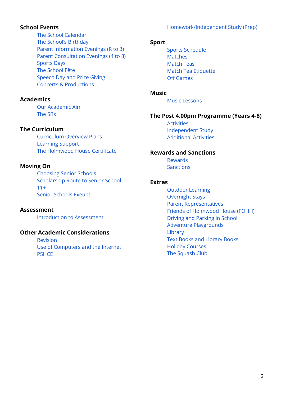## [Homework/Independent](#page-30-0) Study (Prep)

## **School Events**

The School [Calendar](#page-21-0) The School's [Birthday](#page-21-1) Parent [Information](#page-21-2) Evenings (R to 3) Parent [Consultation](#page-21-3) Evenings (4 to 8) [Sports](#page-21-4) Days The [School](#page-22-0) Fête [Speech](#page-22-1) Day and Prize Giving Concerts & [Productions](#page-22-2)

#### **Academics**

Our [Academic](#page-23-0) Aim [The](#page-23-1) 5Rs

## **The Curriculum**

[Curriculum](#page-24-0) Overview Plans [Learning](#page-24-1) Support The [Holmwood](#page-25-0) House Certificate

## **Moving On**

[Choosing](#page-25-1) Senior Schools [Scholarship](#page-25-2) Route to Senior School  $11+$ Senior [Schools](#page-26-1) Exeunt

**Assessment** [Introduction](#page-26-2) to Assessment

#### **Other Academic Considerations**

[Revision](#page-29-0) Use of [Computers](#page-29-1) and the Internet **[PSHCE](#page-29-2)** 

#### **Sport**

Sports [Schedule](#page-32-0) **[Matches](#page-32-1)** [Match](#page-33-0) Teas Match Tea [Etiquette](#page-33-1) Off [Games](#page-33-2)

#### **Music**

Music [Lessons](#page-34-0)

#### **The Post 4.00pm Programme (Years 4-8)**

[Activities](#page-34-1) [Independent](#page-35-0) Study [Additional](#page-35-1) Activities

#### **Rewards and Sanctions**

[Rewards](#page-36-0) [Sanctions](#page-37-0)

#### **Extras**

Outdoor Learning [Overnight](#page-41-0) Stays Parent [Representatives](#page-41-1) Friends of [Holmwood](#page-41-2) House (FOHH) Driving and [Parking](#page-42-0) in School Adventure [Playgrounds](#page-42-1) [Library](#page-42-2) Text Books and [Library](#page-42-3) Books Holiday [Courses](#page-43-0) The [Squash](#page-43-1) Club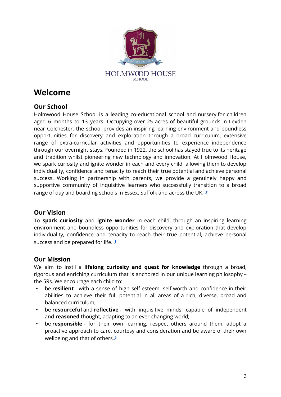

# **Welcome**

# <span id="page-3-0"></span>**Our School**

Holmwood House School is a leading co-educational school and nursery for children aged 6 months to 13 years. Occupying over 25 acres of beautiful grounds in Lexden near Colchester, the school provides an inspiring learning environment and boundless opportunities for discovery and exploration through a broad curriculum, extensive range of extra-curricular activities and opportunities to experience independence through our overnight stays. Founded in 1922, the school has stayed true to its heritage and tradition whilst pioneering new technology and innovation. At Holmwood House, we spark curiosity and ignite wonder in each and every child, allowing them to develop individuality, confidence and tenacity to reach their true potential and achieve personal success. Working in partnership with parents, we provide a genuinely happy and supportive community of inquisitive learners who successfully transition to a broad range of day and boarding schools in Essex, Suffolk and across the UK.  $\triangle$ 

# <span id="page-3-1"></span>**Our Vision**

To **spark curiosity** and **ignite wonder** in each child, through an inspiring learning environment and boundless opportunities for discovery and exploration that develop individuality, confidence and tenacity to reach their true potential, achieve personal success and be prepared for life.  $\sqrt{s}$ 

# <span id="page-3-2"></span>**Our Mission**

We aim to instil a **lifelong curiosity and quest for knowledge** through a broad, rigorous and enriching curriculum that is anchored in our unique learning philosophy – the 5Rs. We encourage each child to:

- be **resilient** with a sense of high self-esteem, self-worth and confidence in their abilities to achieve their full potential in all areas of a rich, diverse, broad and balanced curriculum;
- be **resourceful** and **reflective** with inquisitive minds, capable of independent and **reasoned** thought, adapting to an ever-changing world;
- be **responsible** for their own learning, respect others around them, adopt a proactive approach to care, courtesy and consideration and be aware of their own wellbeing and that of others. $\hat{J}$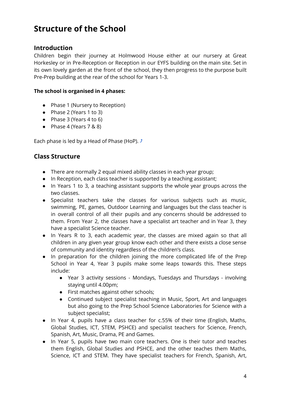# **Structure of the School**

## <span id="page-4-0"></span>**Introduction**

Children begin their journey at Holmwood House either at our nursery at Great Horkesley or in Pre-Reception or Reception in our EYFS building on the main site. Set in its own lovely garden at the front of the school, they then progress to the purpose built Pre-Prep building at the rear of the school for Years 1-3.

#### **The school is organised in 4 phases:**

- Phase 1 (Nursery to Reception)
- Phase 2 (Years 1 to 3)
- Phase 3 (Years 4 to 6)
- $\bullet$  Phase 4 (Years 7 & 8)

Each phase is led by a Head of Phase (HoP).  $\triangle$ 

# <span id="page-4-1"></span>**Class Structure**

- There are normally 2 equal mixed ability classes in each year group;
- In Reception, each class teacher is supported by a teaching assistant;
- In Years 1 to 3, a teaching assistant supports the whole year groups across the two classes.
- Specialist teachers take the classes for various subjects such as music, swimming, PE, games, Outdoor Learning and languages but the class teacher is in overall control of all their pupils and any concerns should be addressed to them. From Year 2, the classes have a specialist art teacher and in Year 3, they have a specialist Science teacher.
- In Years R to 3, each academic year, the classes are mixed again so that all children in any given year group know each other and there exists a close sense of community and identity regardless of the children's class.
- In preparation for the children joining the more complicated life of the Prep School in Year 4, Year 3 pupils make some leaps towards this. These steps include:
	- Year 3 activity sessions Mondays, Tuesdays and Thursdays involving staying until 4.00pm;
	- First matches against other schools;
	- Continued subject specialist teaching in Music, Sport, Art and languages but also going to the Prep School Science Laboratories for Science with a subject specialist;
- In Year 4, pupils have a class teacher for c.55% of their time (English, Maths, Global Studies, ICT, STEM, PSHCE) and specialist teachers for Science, French, Spanish, Art, Music, Drama, PE and Games.
- In Year 5, pupils have two main core teachers. One is their tutor and teaches them English, Global Studies and PSHCE, and the other teaches them Maths, Science, ICT and STEM. They have specialist teachers for French, Spanish, Art,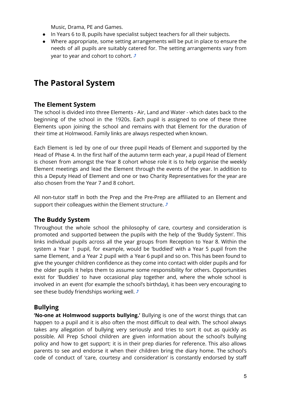Music, Drama, PE and Games.

- In Years 6 to 8, pupils have specialist subject teachers for all their subjects.
- Where appropriate, some setting arrangements will be put in place to ensure the needs of all pupils are suitably catered for. The setting arrangements vary from year to year and cohort to cohort.  $\triangle$

# <span id="page-5-0"></span>**The Pastoral System**

# <span id="page-5-1"></span>**The Element System**

The school is divided into three Elements - Air, Land and Water - which dates back to the beginning of the school in the 1920s. Each pupil is assigned to one of these three Elements upon joining the school and remains with that Element for the duration of their time at Holmwood. Family links are always respected when known.

Each Element is led by one of our three pupil Heads of Element and supported by the Head of Phase 4. In the first half of the autumn term each year, a pupil Head of Element is chosen from amongst the Year 8 cohort whose role it is to help organise the weekly Element meetings and lead the Element through the events of the year. In addition to this a Deputy Head of Element and one or two Charity Representatives for the year are also chosen from the Year 7 and 8 cohort.

All non-tutor staff in both the Prep and the Pre-Prep are affiliated to an Element and support their colleagues within the Element structure.  $\hat{J}$ 

# <span id="page-5-2"></span>**The Buddy System**

Throughout the whole school the philosophy of care, courtesy and consideration is promoted and supported between the pupils with the help of the 'Buddy System'. This links individual pupils across all the year groups from Reception to Year 8. Within the system a Year 1 pupil, for example, would be 'buddied' with a Year 5 pupil from the same Element, and a Year 2 pupil with a Year 6 pupil and so on. This has been found to give the younger children confidence as they come into contact with older pupils and for the older pupils it helps them to assume some responsibility for others. Opportunities exist for 'Buddies' to have occasional play together and, where the whole school is involved in an event (for example the school's birthday), it has been very encouraging to see these buddy friendships working well.  $\triangle$ 

# <span id="page-5-3"></span>**Bullying**

**'No-one at Holmwood supports bullying.'** Bullying is one of the worst things that can happen to a pupil and it is also often the most difficult to deal with. The school always takes any allegation of bullying very seriously and tries to sort it out as quickly as possible. All Prep School children are given information about the school's bullying policy and how to get support; it is in their prep diaries for reference. This also allows parents to see and endorse it when their children bring the diary home. The school's code of conduct of 'care, courtesy and consideration' is constantly endorsed by staff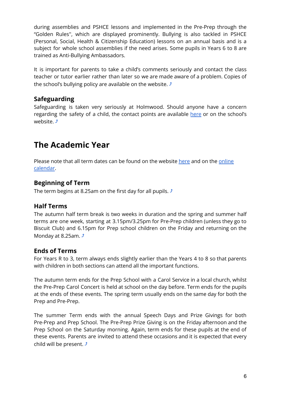during assemblies and PSHCE lessons and implemented in the Pre-Prep through the "Golden Rules'', which are displayed prominently. Bullying is also tackled in PSHCE (Personal, Social, Health & Citizenship Education) lessons on an annual basis and is a subject for whole school assemblies if the need arises. Some pupils in Years 6 to 8 are trained as Anti-Bullying Ambassadors.

It is important for parents to take a child's comments seriously and contact the class teacher or tutor earlier rather than later so we are made aware of a problem. Copies of the school's bullying policy are available on the website.  $\triangle$ 

# <span id="page-6-0"></span>**Safeguarding**

Safeguarding is taken very seriously at Holmwood. Should anyone have a concern regarding the safety of a child, the contact points are available [here](https://www.holmwood.house/safeguarding/) or on the school's website. *j* 

# **The Academic Year**

Please note that all term dates can be found on the website [here](http://holmwood.house/Parents/TermDates/) and on the [online](https://www.holmwood.house/parents/calendar/) [calendar](https://www.holmwood.house/parents/calendar/).

# <span id="page-6-1"></span>**Beginning of Term**

The term begins at 8.25am on the first day for all pupils.  $\sqrt{s}$ 

# <span id="page-6-2"></span>**Half Terms**

The autumn half term break is two weeks in duration and the spring and summer half terms are one week, starting at 3.15pm/3.25pm for Pre-Prep children (unless they go to Biscuit Club) and 6.15pm for Prep school children on the Friday and returning on the Monday at 8.25am.  $\sqrt{ }$ 

# <span id="page-6-3"></span>**Ends of Terms**

For Years R to 3, term always ends slightly earlier than the Years 4 to 8 so that parents with children in both sections can attend all the important functions.

The autumn term ends for the Prep School with a Carol Service in a local church, whilst the Pre-Prep Carol Concert is held at school on the day before. Term ends for the pupils at the ends of these events. The spring term usually ends on the same day for both the Prep and Pre-Prep.

The summer Term ends with the annual Speech Days and Prize Givings for both Pre-Prep and Prep School. The Pre-Prep Prize Giving is on the Friday afternoon and the Prep School on the Saturday morning. Again, term ends for these pupils at the end of these events. Parents are invited to attend these occasions and it is expected that every child will be present.  $\sqrt{ }$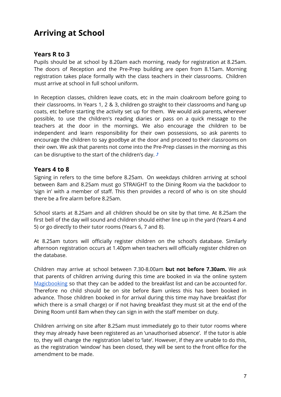# **Arriving at School**

# <span id="page-7-0"></span>**Years R to 3**

Pupils should be at school by 8.20am each morning, ready for registration at 8.25am. The doors of Reception and the Pre-Prep building are open from 8.15am. Morning registration takes place formally with the class teachers in their classrooms. Children must arrive at school in full school uniform.

In Reception classes, children leave coats, etc in the main cloakroom before going to their classrooms. In Years 1, 2 & 3, children go straight to their classrooms and hang up coats, etc before starting the activity set up for them. We would ask parents, wherever possible, to use the children's reading diaries or pass on a quick message to the teachers at the door in the mornings. We also encourage the children to be independent and learn responsibility for their own possessions, so ask parents to encourage the children to say goodbye at the door and proceed to their classrooms on their own. We ask that parents not come into the Pre-Prep classes in the morning as this can be disruptive to the start of the children's day.  $\triangle$ 

# <span id="page-7-1"></span>**Years 4 to 8**

Signing in refers to the time before 8.25am. On weekdays children arriving at school between 8am and 8.25am must go STRAIGHT to the Dining Room via the backdoor to 'sign in' with a member of staff. This then provides a record of who is on site should there be a fire alarm before 8.25am.

School starts at 8.25am and all children should be on site by that time. At 8.25am the first bell of the day will sound and children should either line up in the yard (Years 4 and 5) or go directly to their tutor rooms (Years 6, 7 and 8).

At 8.25am tutors will officially register children on the school's database. Similarly afternoon registration occurs at 1.40pm when teachers will officially register children on the database.

Children may arrive at school between 7.30-8.00am **but not before 7.30am.** We ask that parents of children arriving during this time are booked in via the online system [Magicbooking](https://holmwoodhouse.magicbooking.co.uk/Identity/Account/Login) so that they can be added to the breakfast list and can be accounted for. Therefore no child should be on site before 8am unless this has been booked in advance. Those children booked in for arrival during this time may have breakfast (for which there is a small charge) or if not having breakfast they must sit at the end of the Dining Room until 8am when they can sign in with the staff member on duty.

Children arriving on site after 8.25am must immediately go to their tutor rooms where they may already have been registered as an 'unauthorised absence'. If the tutor is able to, they will change the registration label to 'late'. However, if they are unable to do this, as the registration 'window' has been closed, they will be sent to the front office for the amendment to be made.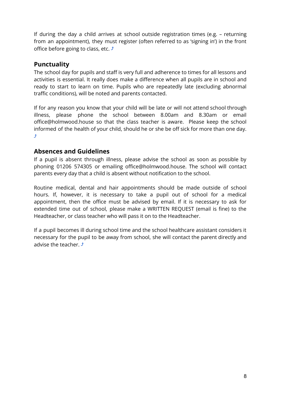If during the day a child arrives at school outside registration times (e.g. – returning from an appointment), they must register (often referred to as 'signing in') in the front office before going to class, etc.  $\sqrt{ }$ 

# <span id="page-8-0"></span>**Punctuality**

The school day for pupils and staff is very full and adherence to times for all lessons and activities is essential. It really does make a difference when all pupils are in school and ready to start to learn on time. Pupils who are repeatedly late (excluding abnormal traffic conditions), will be noted and parents contacted.

If for any reason you know that your child will be late or will not attend school through illness, please phone the school between 8.00am and 8.30am or email office@holmwood.house so that the class teacher is aware. Please keep the school informed of the health of your child, should he or she be off sick for more than one day. [⤴](#page-1-0)

# <span id="page-8-1"></span>**Absences and Guidelines**

If a pupil is absent through illness, please advise the school as soon as possible by phoning 01206 574305 or emailing office@holmwood.house. The school will contact parents every day that a child is absent without notification to the school.

Routine medical, dental and hair appointments should be made outside of school hours. If, however, it is necessary to take a pupil out of school for a medical appointment, then the office must be advised by email. If it is necessary to ask for extended time out of school, please make a WRITTEN REQUEST (email is fine) to the Headteacher, or class teacher who will pass it on to the Headteacher.

If a pupil becomes ill during school time and the school healthcare assistant considers it necessary for the pupil to be away from school, she will contact the parent directly and advise the teacher.  $\hat{J}$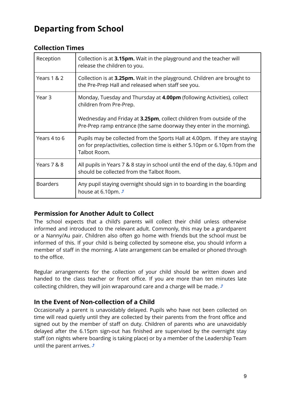# **Departing from School**

| Reception       | Collection is at 3.15pm. Wait in the playground and the teacher will<br>release the children to you.                                                                                                                                              |
|-----------------|---------------------------------------------------------------------------------------------------------------------------------------------------------------------------------------------------------------------------------------------------|
| Years 1 & 2     | Collection is at 3.25pm. Wait in the playground. Children are brought to<br>the Pre-Prep Hall and released when staff see you.                                                                                                                    |
| Year 3          | Monday, Tuesday and Thursday at 4.00pm (following Activities), collect<br>children from Pre-Prep.<br>Wednesday and Friday at 3.25pm, collect children from outside of the<br>Pre-Prep ramp entrance (the same doorway they enter in the morning). |
|                 |                                                                                                                                                                                                                                                   |
| Years 4 to 6    | Pupils may be collected from the Sports Hall at 4.00pm. If they are staying<br>on for prep/activities, collection time is either 5.10pm or 6.10pm from the<br>Talbot Room.                                                                        |
| Years 7 & 8     | All pupils in Years 7 & 8 stay in school until the end of the day, 6.10pm and<br>should be collected from the Talbot Room.                                                                                                                        |
| <b>Boarders</b> | Any pupil staying overnight should sign in to boarding in the boarding<br>house at 6.10pm. $\sqrt{ }$                                                                                                                                             |

# <span id="page-9-0"></span>**Collection Times**

# <span id="page-9-1"></span>**Permission for Another Adult to Collect**

The school expects that a child's parents will collect their child unless otherwise informed and introduced to the relevant adult. Commonly, this may be a grandparent or a Nanny/Au pair. Children also often go home with friends but the school must be informed of this. If your child is being collected by someone else, you should inform a member of staff in the morning. A late arrangement can be emailed or phoned through to the office.

Regular arrangements for the collection of your child should be written down and handed to the class teacher or front office. If you are more than ten minutes late collecting children, they will join wraparound care and a charge will be made.  $\triangle$ 

# <span id="page-9-2"></span>**In the Event of Non-collection of a Child**

Occasionally a parent is unavoidably delayed. Pupils who have not been collected on time will read quietly until they are collected by their parents from the front office and signed out by the member of staff on duty. Children of parents who are unavoidably delayed after the 6.15pm sign-out has finished are supervised by the overnight stay staff (on nights where boarding is taking place) or by a member of the Leadership Team until the parent arrives.  $\sqrt{s}$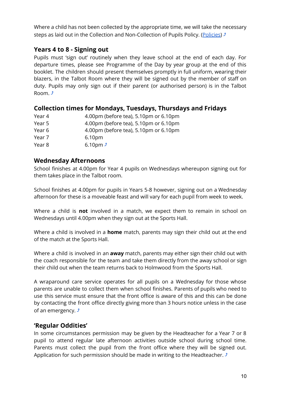Where a child has not been collected by the appropriate time, we will take the necessary steps as laid out in the Collection and Non-Collection of Pupils Policy. ([Policies\)](https://www.holmwood.house/about-us/policies-inspection-reports/)  $\mathcal{F}$ 

# <span id="page-10-0"></span>**Years 4 to 8 - Signing out**

Pupils must 'sign out' routinely when they leave school at the end of each day. For departure times, please see Programme of the Day by year group at the end of this booklet. The children should present themselves promptly in full uniform, wearing their blazers, in the Talbot Room where they will be signed out by the member of staff on duty. Pupils may only sign out if their parent (or authorised person) is in the Talbot Room  $\rightarrow$ 

# **Collection times for Mondays, Tuesdays, Thursdays and Fridays**

| Year 4 | 4.00pm (before tea), 5.10pm or 6.10pm |
|--------|---------------------------------------|
| Year 5 | 4.00pm (before tea), 5.10pm or 6.10pm |
| Year 6 | 4.00pm (before tea), 5.10pm or 6.10pm |
| Year 7 | 6.10 <sub>pm</sub>                    |
| Year 8 | 6.10pm $\sqrt{2}$                     |

# <span id="page-10-1"></span>**Wednesday Afternoons**

School finishes at 4.00pm for Year 4 pupils on Wednesdays whereupon signing out for them takes place in the Talbot room.

School finishes at 4.00pm for pupils in Years 5-8 however, signing out on a Wednesday afternoon for these is a moveable feast and will vary for each pupil from week to week.

Where a child is **not** involved in a match, we expect them to remain in school on Wednesdays until 4.00pm when they sign out at the Sports Hall.

Where a child is involved in a **home** match, parents may sign their child out at the end of the match at the Sports Hall.

Where a child is involved in an **away** match, parents may either sign their child out with the coach responsible for the team and take them directly from the away school or sign their child out when the team returns back to Holmwood from the Sports Hall.

A wraparound care service operates for all pupils on a Wednesday for those whose parents are unable to collect them when school finishes. Parents of pupils who need to use this service must ensure that the front office is aware of this and this can be done by contacting the front office directly giving more than 3 hours notice unless in the case of an emergency.  $\sqrt{ }$ 

# <span id="page-10-2"></span>**'Regular Oddities'**

In some circumstances permission may be given by the Headteacher for a Year 7 or 8 pupil to attend regular late afternoon activities outside school during school time. Parents must collect the pupil from the front office where they will be signed out. Application for such permission should be made in writing to the Headteacher.  $\triangle$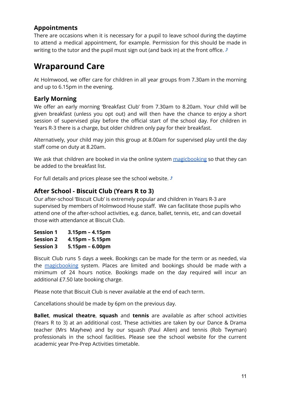# <span id="page-11-0"></span>**Appointments**

There are occasions when it is necessary for a pupil to leave school during the daytime to attend a medical appointment, for example. Permission for this should be made in writing to the tutor and the pupil must sign out (and back in) at the front office.  $\mathcal{I}$ 

# **Wraparound Care**

At Holmwood, we offer care for children in all year groups from 7.30am in the morning and up to 6.15pm in the evening.

# <span id="page-11-1"></span>**Early Morning**

We offer an early morning 'Breakfast Club' from 7.30am to 8.20am. Your child will be given breakfast (unless you opt out) and will then have the chance to enjoy a short session of supervised play before the official start of the school day. For children in Years R-3 there is a charge, but older children only pay for their breakfast.

Alternatively, your child may join this group at 8.00am for supervised play until the day staff come on duty at 8.20am.

We ask that children are booked in via the online system [magicbooking](https://holmwoodhouse.magicbooking.co.uk/Identity/Account/Login) so that they can be added to the breakfast list.

For full details and prices please see the school website.  $\triangle$ 

# <span id="page-11-2"></span>**After School - Biscuit Club (Years R to 3)**

Our after-school 'Biscuit Club' is extremely popular and children in Years R-3 are supervised by members of Holmwood House staff. We can facilitate those pupils who attend one of the after-school activities, e.g. dance, ballet, tennis, etc, and can dovetail those with attendance at Biscuit Club.

| <b>Session 1</b> | $3.15pm - 4.15pm$ |
|------------------|-------------------|
| <b>Session 2</b> | $4.15pm - 5.15pm$ |
| <b>Session 3</b> | $5.15pm - 6.00pm$ |

Biscuit Club runs 5 days a week. Bookings can be made for the term or as needed, via the [magicbooking](https://holmwoodhouse.magicbooking.co.uk/Identity/Account/Login) system. Places are limited and bookings should be made with a minimum of 24 hours notice. Bookings made on the day required will incur an additional £7.50 late booking charge.

Please note that Biscuit Club is never available at the end of each term.

Cancellations should be made by 6pm on the previous day.

**Ballet**, **musical theatre**, **squash** and **tennis** are available as after school activities (Years R to 3) at an additional cost. These activities are taken by our Dance & Drama teacher (Mrs Mayhew) and by our squash (Paul Allen) and tennis (Rob Twyman) professionals in the school facilities. Please see the school website for the current academic year Pre-Prep Activities timetable.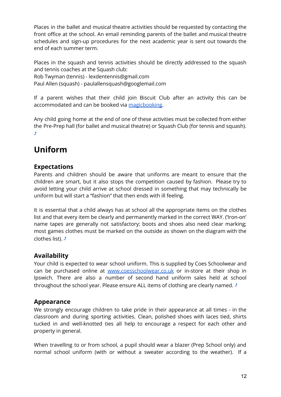Places in the ballet and musical theatre activities should be requested by contacting the front office at the school. An email reminding parents of the ballet and musical theatre schedules and sign-up procedures for the next academic year is sent out towards the end of each summer term.

Places in the squash and tennis activities should be directly addressed to the squash and tennis coaches at the Squash club:

Rob Twyman (tennis) - lexdentennis@gmail.com

Paul Allen (squash) - paulallensquash@googlemail.com

If a parent wishes that their child join Biscuit Club after an activity this can be accommodated and can be booked via [magicbooking](https://holmwoodhouse.magicbooking.co.uk/Identity/Account/Login).

Any child going home at the end of one of these activities must be collected from either the Pre-Prep hall (for ballet and musical theatre) or Squash Club (for tennis and squash). [⤴](#page-1-0)

# **Uniform**

# <span id="page-12-0"></span>**Expectations**

Parents and children should be aware that uniforms are meant to ensure that the children are smart, but it also stops the competition caused by fashion. Please try to avoid letting your child arrive at school dressed in something that may technically be uniform but will start a "fashion" that then ends with ill feeling.

It is essential that a child always has at school all the appropriate items on the clothes list and that every item be clearly and permanently marked in the correct WAY. ('Iron-on' name tapes are generally not satisfactory; boots and shoes also need clear marking; most games clothes must be marked on the outside as shown on the diagram with the clothes list).  $\hat{J}$ 

# <span id="page-12-1"></span>**Availability**

Your child is expected to wear school uniform. This is supplied by Coes Schoolwear and can be purchased online at [www.coesschoolwear.co.uk](http://www.coesschoolwear.co.uk) or in-store at their shop in Ipswich. There are also a number of second hand uniform sales held at school throughout the school year. Please ensure ALL items of clothing are clearly named.  $\mathcal{I}$ 

# <span id="page-12-2"></span>**Appearance**

We strongly encourage children to take pride in their appearance at all times - in the classroom and during sporting activities. Clean, polished shoes with laces tied, shirts tucked in and well-knotted ties all help to encourage a respect for each other and property in general.

When travelling to or from school, a pupil should wear a blazer (Prep School only) and normal school uniform (with or without a sweater according to the weather). If a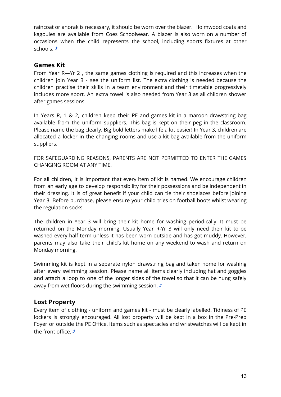raincoat or anorak is necessary, it should be worn over the blazer. Holmwood coats and kagoules are available from Coes Schoolwear. A blazer is also worn on a number of occasions when the child represents the school, including sports fixtures at other schools. *j* 

## <span id="page-13-0"></span>**Games Kit**

From Year R—Yr 2 , the same games clothing is required and this increases when the children join Year 3 - see the uniform list. The extra clothing is needed because the children practise their skills in a team environment and their timetable progressively includes more sport. An extra towel is also needed from Year 3 as all children shower after games sessions.

In Years R, 1 & 2, children keep their PE and games kit in a maroon drawstring bag available from the uniform suppliers. This bag is kept on their peg in the classroom. Please name the bag clearly. Big bold letters make life a lot easier! In Year 3, children are allocated a locker in the changing rooms and use a kit bag available from the uniform suppliers.

FOR SAFEGUARDING REASONS, PARENTS ARE NOT PERMITTED TO ENTER THE GAMES CHANGING ROOM AT ANY TIME.

For all children, it is important that every item of kit is named. We encourage children from an early age to develop responsibility for their possessions and be independent in their dressing. It is of great benefit if your child can tie their shoelaces before joining Year 3. Before purchase, please ensure your child tries on football boots whilst wearing the regulation socks!

The children in Year 3 will bring their kit home for washing periodically. It must be returned on the Monday morning. Usually Year R-Yr 3 will only need their kit to be washed every half term unless it has been worn outside and has got muddy. However, parents may also take their child's kit home on any weekend to wash and return on Monday morning.

Swimming kit is kept in a separate nylon drawstring bag and taken home for washing after every swimming session. Please name all items clearly including hat and goggles and attach a loop to one of the longer sides of the towel so that it can be hung safely away from wet floors during the swimming session.  $\triangle$ 

# <span id="page-13-1"></span>**Lost Property**

Every item of clothing - uniform and games kit - must be clearly labelled. Tidiness of PE lockers is strongly encouraged. All lost property will be kept in a box in the Pre-Prep Foyer or outside the PE Office. Items such as spectacles and wristwatches will be kept in the front office.  $\hat{J}$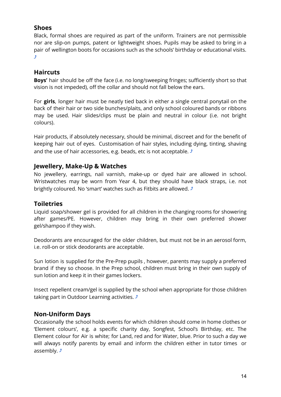# <span id="page-14-0"></span>**Shoes**

Black, formal shoes are required as part of the uniform. Trainers are not permissible nor are slip-on pumps, patent or lightweight shoes. Pupils may be asked to bring in a pair of wellington boots for occasions such as the schools' birthday or educational visits. [⤴](#page-1-0)

# <span id="page-14-1"></span>**Haircuts**

**Boys'** hair should be off the face (i.e. no long/sweeping fringes; sufficiently short so that vision is not impeded), off the collar and should not fall below the ears.

For **girls**, longer hair must be neatly tied back in either a single central ponytail on the back of their hair or two side bunches/plaits, and only school coloured bands or ribbons may be used. Hair slides/clips must be plain and neutral in colour (i.e. not bright colours).

Hair products, if absolutely necessary, should be minimal, discreet and for the benefit of keeping hair out of eyes. Customisation of hair styles, including dying, tinting, shaving and the use of hair accessories, e.g. beads, etc is not acceptable.  $\triangle$ 

# <span id="page-14-2"></span>**Jewellery, Make-Up & Watches**

No jewellery, earrings, nail varnish, make-up or dyed hair are allowed in school. Wristwatches may be worn from Year 4, but they should have black straps, i.e. not brightly coloured. No 'smart' watches such as Fitbits are allowed.  $\triangle$ 

# <span id="page-14-3"></span>**Toiletries**

Liquid soap/shower gel is provided for all children in the changing rooms for showering after games/PE. However, children may bring in their own preferred shower gel/shampoo if they wish.

Deodorants are encouraged for the older children, but must not be in an aerosol form, i.e. roll-on or stick deodorants are acceptable.

Sun lotion is supplied for the Pre-Prep pupils , however, parents may supply a preferred brand if they so choose. In the Prep school, children must bring in their own supply of sun lotion and keep it in their games lockers.

Insect repellent cream/gel is supplied by the school when appropriate for those children taking part in Outdoor Learning activities.  $\sqrt{s}$ 

# **Non-Uniform Days**

Occasionally the school holds events for which children should come in home clothes or 'Element colours', e.g. a specific charity day, Songfest, School's Birthday, etc. The Element colour for Air is white; for Land, red and for Water, blue. Prior to such a day we will always notify parents by email and inform the children either in tutor times or assembly.  $\mathcal{F}$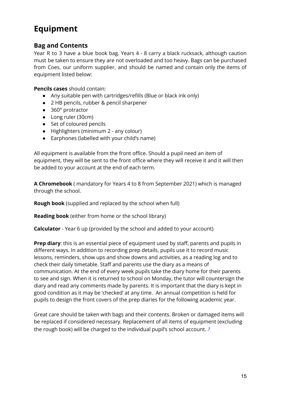# **Equipment**

# <span id="page-15-0"></span>**Bag and Contents**

Year R to 3 have a blue book bag. Years 4 - 8 carry a black rucksack, although caution must be taken to ensure they are not overloaded and too heavy. Bags can be purchased from Coes, our uniform supplier, and should be named and contain only the items of equipment listed below:

**Pencils cases** should contain:

- Any suitable pen with cartridges/refills (Blue or black ink only)
- 2 HB pencils, rubber & pencil sharpener
- 360° protractor
- Long ruler (30cm)
- Set of coloured pencils
- Highlighters (minimum 2 any colour)
- Earphones (labelled with your child's name)

All equipment is available from the front office. Should a pupil need an item of equipment, they will be sent to the front office where they will receive it and it will then be added to your account at the end of each term.

**A Chromebook** ( mandatory for Years 4 to 8 from September 2021) which is managed through the school.

**Rough book** (supplied and replaced by the school when full)

**Reading book** (either from home or the school library)

**Calculator** - Year 6 up (provided by the school and added to your account)

**Prep diary**: this is an essential piece of equipment used by staff, parents and pupils in different ways. In addition to recording prep details, pupils use it to record music lessons, reminders, show ups and show downs and activities, as a reading log and to check their daily timetable. Staff and parents use the diary as a means of communication. At the end of every week pupils take the diary home for their parents to see and sign. When it is returned to school on Monday, the tutor will countersign the diary and read any comments made by parents. It is important that the diary is kept in good condition as it may be 'checked' at any time. An annual competition is held for pupils to design the front covers of the prep diaries for the following academic year.

Great care should be taken with bags and their contents. Broken or damaged items will be replaced if considered necessary. Replacement of all items of equipment (excluding the rough book) will be charged to the individual pupil's school account.  $\triangle$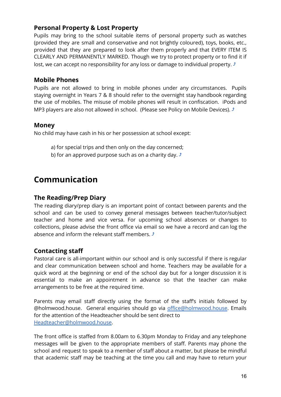# **Personal Property & Lost Property**

Pupils may bring to the school suitable items of personal property such as watches (provided they are small and conservative and not brightly coloured), toys, books, etc., provided that they are prepared to look after them properly and that EVERY ITEM IS CLEARLY AND PERMANENTLY MARKED. Though we try to protect property or to find it if lost, we can accept no responsibility for any loss or damage to individual property.  $\triangle$ 

# <span id="page-16-0"></span>**Mobile Phones**

Pupils are not allowed to bring in mobile phones under any circumstances. Pupils staying overnight in Years 7 & 8 should refer to the overnight stay handbook regarding the use of mobiles. The misuse of mobile phones will result in confiscation. iPods and MP3 players are also not allowed in school. (Please see Policy on Mobile Devices).  $\triangle$ 

#### <span id="page-16-1"></span>**Money**

No child may have cash in his or her possession at school except:

- a) for special trips and then only on the day concerned;
- b) for an approved purpose such as on a charity day.  $\triangle$

# **Communication**

# <span id="page-16-2"></span>**The Reading/Prep Diary**

The reading diary/prep diary is an important point of contact between parents and the school and can be used to convey general messages between teacher/tutor/subject teacher and home and vice versa. For upcoming school absences or changes to collections, please advise the front office via email so we have a record and can log the absence and inform the relevant staff members.  $\mathcal I$ 

# <span id="page-16-3"></span>**Contacting staff**

Pastoral care is all-important within our school and is only successful if there is regular and clear communication between school and home. Teachers may be available for a quick word at the beginning or end of the school day but for a longer discussion it is essential to make an appointment in advance so that the teacher can make arrangements to be free at the required time.

Parents may email staff directly using the format of the staff's initials followed by @holmwood.house. General enquiries should go via [office@holmwood.house](mailto:office@holmwood.house). Emails for the attention of the Headteacher should be sent direct to [Headteacher@holmwood.house](mailto:headmaster@holmwood.house).

The front office is staffed from 8.00am to 6.30pm Monday to Friday and any telephone messages will be given to the appropriate members of staff. Parents may phone the school and request to speak to a member of staff about a matter, but please be mindful that academic staff may be teaching at the time you call and may have to return your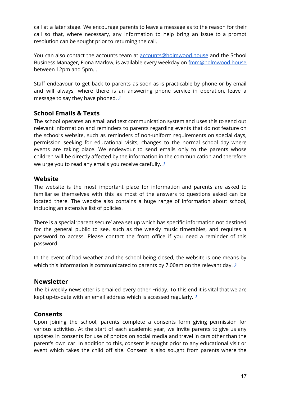call at a later stage. We encourage parents to leave a message as to the reason for their call so that, where necessary, any information to help bring an issue to a prompt resolution can be sought prior to returning the call.

You can also contact the accounts team at [accounts@holmwood.house](mailto:accounts@holmwood.house) and the School Business Manager, Fiona Marlow, is available every weekday on [fmm@holmwood.house](mailto:fmm@holmwood.house) between 12pm and 5pm. .

Staff endeavour to get back to parents as soon as is practicable by phone or by email and will always, where there is an answering phone service in operation, leave a message to say they have phoned.  $\triangle$ 

# <span id="page-17-0"></span>**School Emails & Texts**

The school operates an email and text communication system and uses this to send out relevant information and reminders to parents regarding events that do not feature on the school's website, such as reminders of non-uniform requirements on special days, permission seeking for educational visits, changes to the normal school day where events are taking place. We endeavour to send emails only to the parents whose children will be directly affected by the information in the communication and therefore we urge you to read any emails you receive carefully.  $\sqrt{2}$ 

## <span id="page-17-1"></span>**Website**

The website is the most important place for information and parents are asked to familiarise themselves with this as most of the answers to questions asked can be located there. The website also contains a huge range of information about school, including an extensive list of policies.

There is a special 'parent secure' area set up which has specific information not destined for the general public to see, such as the weekly music timetables, and requires a password to access. Please contact the front office if you need a reminder of this password.

In the event of bad weather and the school being closed, the website is one means by which this information is communicated to parents by 7.00am on the relevant day.  $\sqrt{ }$ 

# <span id="page-17-2"></span>**Newsletter**

The bi-weekly newsletter is emailed every other Friday. To this end it is vital that we are kept up-to-date with an email address which is accessed regularly.  $\triangle$ 

# <span id="page-17-3"></span>**Consents**

Upon joining the school, parents complete a consents form giving permission for various activities. At the start of each academic year, we invite parents to give us any updates in consents for use of photos on social media and travel in cars other than the parent's own car. In addition to this, consent is sought prior to any educational visit or event which takes the child off site. Consent is also sought from parents where the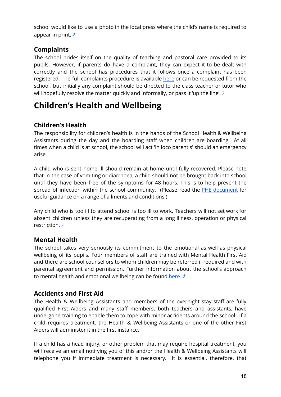school would like to use a photo in the local press where the child's name is required to appear in print.  $\sqrt{2}$ 

# <span id="page-18-0"></span>**Complaints**

The school prides itself on the quality of teaching and pastoral care provided to its pupils. However, if parents do have a complaint, they can expect it to be dealt with correctly and the school has procedures that it follows once a complaint has been registered. The full complaints procedure is available [here](https://www.holmwood.house/about-us/policies-inspection-reports/) or can be requested from the school, but initially any complaint should be directed to the class teacher or tutor who will hopefully resolve the matter quickly and informally, or pass it 'up the line'.  $\triangle$ 

# **Children's Health and Wellbeing**

# <span id="page-18-1"></span>**Children's Health**

The responsibility for children's health is in the hands of the School Health & Wellbeing Assistants during the day and the boarding staff when children are boarding. At all times when a child is at school, the school will act 'in loco parentis' should an emergency arise.

A child who is sent home ill should remain at home until fully recovered. Please note that in the case of vomiting or diarrhoea, a child should not be brought back into school until they have been free of the symptoms for 48 hours. This is to help prevent the spread of infection within the school community. (Please read the PHE [document](https://www.england.nhs.uk/south/wp-content/uploads/sites/6/2019/09/spotty-book-2019-.pdf) for useful guidance on a range of ailments and conditions.)

Any child who is too ill to attend school is too ill to work. Teachers will not set work for absent children unless they are recuperating from a long illness, operation or physical restriction  $\hat{J}$ 

# <span id="page-18-2"></span>**Mental Health**

The school takes very seriously its commitment to the emotional as well as physical wellbeing of its pupils. Four members of staff are trained with Mental Health First Aid and there are school counsellors to whom children may be referred if required and with parental agreement and permission. Further information about the school's approach to mental health and emotional wellbeing can be found [here.](https://www.holmwood.house/about-us/policies-inspection-reports/)  $\triangle$ 

# <span id="page-18-3"></span>**Accidents and First Aid**

The Health & Wellbeing Assistants and members of the overnight stay staff are fully qualified First Aiders and many staff members, both teachers and assistants, have undergone training to enable them to cope with minor accidents around the school. If a child requires treatment, the Health & Wellbeing Assistants or one of the other First Aiders will administer it in the first instance.

If a child has a head injury, or other problem that may require hospital treatment, you will receive an email notifying you of this and/or the Health & Wellbeing Assistants will telephone you if immediate treatment is necessary. It is essential, therefore, that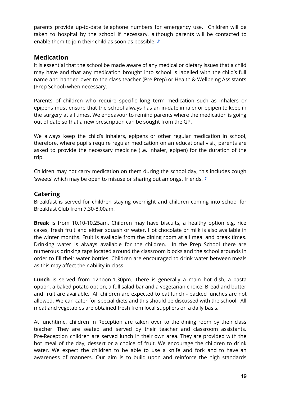parents provide up-to-date telephone numbers for emergency use. Children will be taken to hospital by the school if necessary, although parents will be contacted to enable them to join their child as soon as possible.  $\triangle$ 

# <span id="page-19-0"></span>**Medication**

It is essential that the school be made aware of any medical or dietary issues that a child may have and that any medication brought into school is labelled with the child's full name and handed over to the class teacher (Pre-Prep) or Health & Wellbeing Assistants (Prep School) when necessary.

Parents of children who require specific long term medication such as inhalers or epipens must ensure that the school always has an in-date inhaler or epipen to keep in the surgery at all times. We endeavour to remind parents where the medication is going out of date so that a new prescription can be sought from the GP.

We always keep the child's inhalers, epipens or other regular medication in school, therefore, where pupils require regular medication on an educational visit, parents are asked to provide the necessary medicine (i.e. inhaler, epipen) for the duration of the trip.

Children may not carry medication on them during the school day, this includes cough 'sweets' which may be open to misuse or sharing out amongst friends.  $\triangle$ 

# <span id="page-19-1"></span>**Catering**

Breakfast is served for children staying overnight and children coming into school for Breakfast Club from 7.30-8.00am.

**Break** is from 10.10-10.25am. Children may have biscuits, a healthy option e.g. rice cakes, fresh fruit and either squash or water. Hot chocolate or milk is also available in the winter months. Fruit is available from the dining room at all meal and break times. Drinking water is always available for the children. In the Prep School there are numerous drinking taps located around the classroom blocks and the school grounds in order to fill their water bottles. Children are encouraged to drink water between meals as this may affect their ability in class.

**Lunch** is served from 12noon-1.30pm. There is generally a main hot dish, a pasta option, a baked potato option, a full salad bar and a vegetarian choice. Bread and butter and fruit are available. All children are expected to eat lunch - packed lunches are not allowed. We can cater for special diets and this should be discussed with the school. All meat and vegetables are obtained fresh from local suppliers on a daily basis.

At lunchtime, children in Reception are taken over to the dining room by their class teacher. They are seated and served by their teacher and classroom assistants. Pre-Reception children are served lunch in their own area. They are provided with the hot meal of the day, dessert or a choice of fruit. We encourage the children to drink water. We expect the children to be able to use a knife and fork and to have an awareness of manners. Our aim is to build upon and reinforce the high standards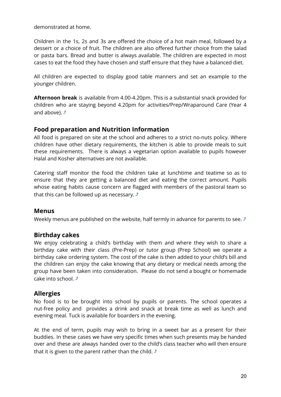demonstrated at home.

Children in the 1s, 2s and 3s are offered the choice of a hot main meal, followed by a dessert or a choice of fruit. The children are also offered further choice from the salad or pasta bars. Bread and butter is always available. The children are expected in most cases to eat the food they have chosen and staff ensure that they have a balanced diet.

All children are expected to display good table manners and set an example to the younger children.

**Afternoon break** is available from 4.00-4.20pm. This is a substantial snack provided for children who are staying beyond 4.20pm for activities/Prep/Wraparound Care (Year 4 and above).  $\hat{J}$ 

# <span id="page-20-0"></span>**Food preparation and Nutrition Information**

All food is prepared on site at the school and adheres to a strict no-nuts policy. Where children have other dietary requirements, the kitchen is able to provide meals to suit these requirements. There is always a vegetarian option available to pupils however Halal and Kosher alternatives are not available.

Catering staff monitor the food the children take at lunchtime and teatime so as to ensure that they are getting a balanced diet and eating the correct amount. Pupils whose eating habits cause concern are flagged with members of the pastoral team so that this can be followed up as necessary.  $\sqrt{ }$ 

#### <span id="page-20-1"></span>**Menus**

Weekly menus are published on the website, half termly in advance for parents to see.  $\triangle$ 

# <span id="page-20-2"></span>**Birthday cakes**

We enjoy celebrating a child's birthday with them and where they wish to share a birthday cake with their class (Pre-Prep) or tutor group (Prep School) we operate a birthday cake ordering system. The cost of the cake is then added to your child's bill and the children can enjoy the cake knowing that any dietary or medical needs among the group have been taken into consideration. Please do not send a bought or homemade cake into school.  $\sqrt{2}$ 

#### <span id="page-20-3"></span>**Allergies**

No food is to be brought into school by pupils or parents. The school operates a nut-free policy and provides a drink and snack at break time as well as lunch and evening meal. Tuck is available for boarders in the evening.

At the end of term, pupils may wish to bring in a sweet bar as a present for their buddies. In these cases we have very specific times when such presents may be handed over and these are always handed over to the child's class teacher who will then ensure that it is given to the parent rather than the child.  $\sqrt{ }$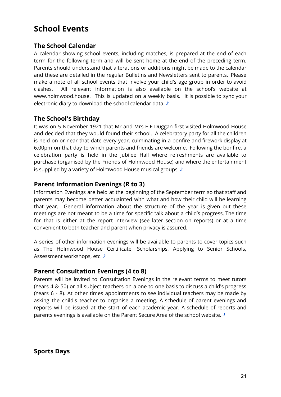# **School Events**

# <span id="page-21-0"></span>**The School Calendar**

A calendar showing school events, including matches, is prepared at the end of each term for the following term and will be sent home at the end of the preceding term. Parents should understand that alterations or additions might be made to the calendar and these are detailed in the regular Bulletins and Newsletters sent to parents. Please make a note of all school events that involve your child's age group in order to avoid clashes. All relevant information is also available on the school's website at [www.holmwood](http://www.holmwood.essex.sch.uk).house. This is updated on a weekly basis. It is possible to sync your electronic diary to download the school calendar data.  $\triangle$ 

# <span id="page-21-1"></span>**The School's Birthday**

It was on 5 November 1921 that Mr and Mrs E F Duggan first visited Holmwood House and decided that they would found their school. A celebratory party for all the children is held on or near that date every year, culminating in a bonfire and firework display at 6.00pm on that day to which parents and friends are welcome. Following the bonfire, a celebration party is held in the Jubilee Hall where refreshments are available to purchase (organised by the Friends of Holmwood House) and where the entertainment is supplied by a variety of Holmwood House musical groups.  $\triangle$ 

## <span id="page-21-2"></span>**Parent Information Evenings (R to 3)**

Information Evenings are held at the beginning of the September term so that staff and parents may become better acquainted with what and how their child will be learning that year. General information about the structure of the year is given but these meetings are not meant to be a time for specific talk about a child's progress. The time for that is either at the report interview (see later section on reports) or at a time convenient to both teacher and parent when privacy is assured.

A series of other information evenings will be available to parents to cover topics such as The Holmwood House Certificate, Scholarships, Applying to Senior Schools, Assessment workshops, etc.  $\triangle$ 

# <span id="page-21-3"></span>**Parent Consultation Evenings (4 to 8)**

Parents will be invited to Consultation Evenings in the relevant terms to meet tutors (Years 4 & 50) or all subject teachers on a one-to-one basis to discuss a child's progress (Years 6 - 8). At other times appointments to see individual teachers may be made by asking the child's teacher to organise a meeting. A schedule of parent evenings and reports will be issued at the start of each academic year. A schedule of reports and parents evenings is available on the Parent Secure Area of the school website.  $\triangle$ 

<span id="page-21-4"></span>**Sports Days**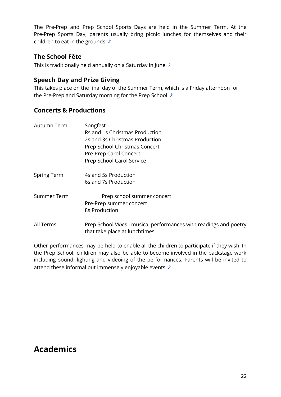The Pre-Prep and Prep School Sports Days are held in the Summer Term. At the Pre-Prep Sports Day, parents usually bring picnic lunches for themselves and their children to eat in the grounds.  $\sqrt{ }$ 

# <span id="page-22-0"></span>**The School Fête**

This is traditionally held annually on a Saturday in June.  $\triangle$ 

# <span id="page-22-1"></span>**Speech Day and Prize Giving**

This takes place on the final day of the Summer Term, which is a Friday afternoon for the Pre-Prep and Saturday morning for the Prep School.  $\triangle$ 

# <span id="page-22-2"></span>**Concerts & Productions**

| Autumn Term        | Songfest                                                                                           |
|--------------------|----------------------------------------------------------------------------------------------------|
|                    | Rs and 1s Christmas Production                                                                     |
|                    | 2s and 3s Christmas Production                                                                     |
|                    | Prep School Christmas Concert                                                                      |
|                    | Pre-Prep Carol Concert                                                                             |
|                    | Prep School Carol Service                                                                          |
| <b>Spring Term</b> | 4s and 5s Production                                                                               |
|                    | 6s and 7s Production                                                                               |
| Summer Term        | Prep school summer concert                                                                         |
|                    | Pre-Prep summer concert                                                                            |
|                    | 8s Production                                                                                      |
| All Terms          | Prep School Vibes - musical performances with readings and poetry<br>that take place at lunchtimes |

Other performances may be held to enable all the children to participate if they wish. In the Prep School, children may also be able to become involved in the backstage work including sound, lighting and videoing of the performances. Parents will be invited to attend these informal but immensely enjoyable events.  $\mathcal{I}$ 

# **Academics**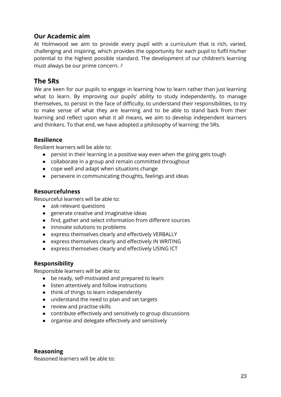# <span id="page-23-0"></span>**Our Academic aim**

At Holmwood we aim to provide every pupil with a curriculum that is rich, varied, challenging and inspiring, which provides the opportunity for each pupil to fulfil his/her potential to the highest possible standard. The development of our children's learning must always be our prime concern.  $\sqrt{ }$ 

# <span id="page-23-1"></span>**The 5Rs**

We are keen for our pupils to engage in learning how to learn rather than just learning what to learn. By improving our pupils' ability to study independently, to manage themselves, to persist in the face of difficulty, to understand their responsibilities, to try to make sense of what they are learning and to be able to stand back from their learning and reflect upon what it all means, we aim to develop independent learners and thinkers. To that end, we have adopted a philosophy of learning; the 5Rs.

#### **Resilience**

Resilient learners will be able to:

- persist in their learning in a positive way even when the going gets tough
- collaborate in a group and remain committed throughout
- cope well and adapt when situations change
- persevere in communicating thoughts, feelings and ideas

#### **Resourcefulness**

Resourceful learners will be able to:

- ask relevant questions
- generate creative and imaginative ideas
- find, gather and select information from different sources
- innovate solutions to problems
- express themselves clearly and effectively VERBALLY
- express themselves clearly and effectively IN WRITING
- express themselves clearly and effectively USING ICT

# **Responsibility**

Responsible learners will be able to:

- be ready, self-motivated and prepared to learn
- listen attentively and follow instructions
- think of things to learn independently
- understand the need to plan and set targets
- review and practise skills
- contribute effectively and sensitively to group discussions
- organise and delegate effectively and sensitively

#### **Reasoning**

Reasoned learners will be able to: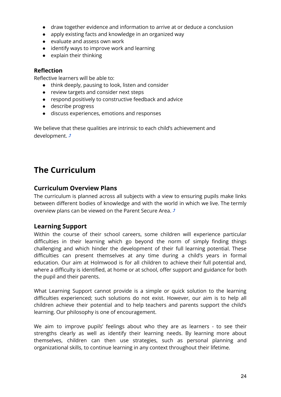- draw together evidence and information to arrive at or deduce a conclusion
- apply existing facts and knowledge in an organized way
- evaluate and assess own work
- identify ways to improve work and learning
- $\bullet$  explain their thinking

#### **Reflection**

Reflective learners will be able to:

- think deeply, pausing to look, listen and consider
- review targets and consider next steps
- respond positively to constructive feedback and advice
- describe progress
- discuss experiences, emotions and responses

We believe that these qualities are intrinsic to each child's achievement and development.  $\rightarrow$ 

# **The Curriculum**

## <span id="page-24-0"></span>**Curriculum Overview Plans**

The curriculum is planned across all subjects with a view to ensuring pupils make links between different bodies of knowledge and with the world in which we live. The termly overview plans can be viewed on the Parent Secure Area.  $\sqrt{ }$ 

# <span id="page-24-1"></span>**Learning Support**

Within the course of their school careers, some children will experience particular difficulties in their learning which go beyond the norm of simply finding things challenging and which hinder the development of their full learning potential. These difficulties can present themselves at any time during a child's years in formal education. Our aim at Holmwood is for all children to achieve their full potential and, where a difficulty is identified, at home or at school, offer support and guidance for both the pupil and their parents.

What Learning Support cannot provide is a simple or quick solution to the learning difficulties experienced; such solutions do not exist. However, our aim is to help all children achieve their potential and to help teachers and parents support the child's learning. Our philosophy is one of encouragement.

We aim to improve pupils' feelings about who they are as learners - to see their strengths clearly as well as identify their learning needs. By learning more about themselves, children can then use strategies, such as personal planning and organizational skills, to continue learning in any context throughout their lifetime.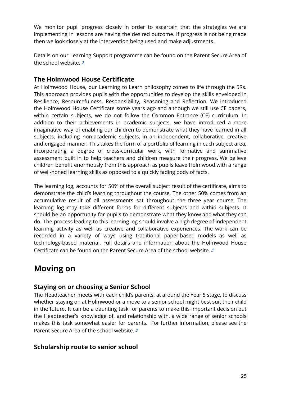We monitor pupil progress closely in order to ascertain that the strategies we are implementing in lessons are having the desired outcome. If progress is not being made then we look closely at the intervention being used and make adjustments.

Details on our Learning Support programme can be found on the Parent Secure Area of the school website.  $\triangle$ 

# <span id="page-25-0"></span>**The Holmwood House Certificate**

At Holmwood House, our Learning to Learn philosophy comes to life through the 5Rs. This approach provides pupils with the opportunities to develop the skills enveloped in Resilience, Resourcefulness, Responsibility, Reasoning and Reflection. We introduced the Holmwood House Certificate some years ago and although we still use CE papers, within certain subjects, we do not follow the Common Entrance (CE) curriculum. In addition to their achievements in academic subjects, we have introduced a more imaginative way of enabling our children to demonstrate what they have learned in all subjects, including non-academic subjects, in an independent, collaborative, creative and engaged manner. This takes the form of a portfolio of learning in each subject area, incorporating a degree of cross-curricular work, with formative and summative assessment built in to help teachers and children measure their progress. We believe children benefit enormously from this approach as pupils leave Holmwood with a range of well-honed learning skills as opposed to a quickly fading body of facts.

The learning log, accounts for 50% of the overall subject result of the certificate, aims to demonstrate the child's learning throughout the course. The other 50% comes from an accumulative result of all assessments sat throughout the three year course, The learning log may take different forms for different subjects and within subjects. It should be an opportunity for pupils to demonstrate what they know and what they can do. The process leading to this learning log should involve a high degree of independent learning activity as well as creative and collaborative experiences. The work can be recorded in a variety of ways using traditional paper-based models as well as technology-based material. Full details and information about the Holmwood House Certificate can be found on the Parent Secure Area of the school website.  $\triangle$ 

# **Moving on**

# <span id="page-25-1"></span>**Staying on or choosing a Senior School**

The Headteacher meets with each child's parents, at around the Year 5 stage, to discuss whether staying on at Holmwood or a move to a senior school might best suit their child in the future. It can be a daunting task for parents to make this important decision but the Headteacher's knowledge of, and relationship with, a wide range of senior schools makes this task somewhat easier for parents. For further information, please see the Parent Secure Area of the school website.  $\sqrt{ }$ 

# <span id="page-25-2"></span>**Scholarship route to senior school**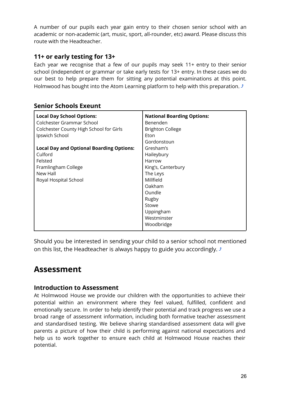A number of our pupils each year gain entry to their chosen senior school with an academic or non-academic (art, music, sport, all-rounder, etc) award. Please discuss this route with the Headteacher.

# <span id="page-26-0"></span>**11+ or early testing for 13+**

Each year we recognise that a few of our pupils may seek 11+ entry to their senior school (independent or grammar or take early tests for 13+ entry. In these cases we do our best to help prepare them for sitting any potential examinations at this point. Holmwood has bought into the Atom Learning platform to help with this preparation.  $\mathcal{F}$ 

<span id="page-26-1"></span>

|  | <b>Senior Schools Exeunt</b> |  |
|--|------------------------------|--|
|--|------------------------------|--|

| <b>Local Day School Options:</b><br>Colchester Grammar School | <b>National Boarding Options:</b><br>Benenden |
|---------------------------------------------------------------|-----------------------------------------------|
| Colchester County High School for Girls                       | <b>Brighton College</b>                       |
| Ipswich School                                                | Eton                                          |
|                                                               | Gordonstoun                                   |
| <b>Local Day and Optional Boarding Options:</b>               | Gresham's                                     |
| Culford                                                       | Haileybury                                    |
| Felsted                                                       | Harrow                                        |
| Framlingham College                                           | King's, Canterbury                            |
| New Hall                                                      | The Leys                                      |
| Royal Hospital School                                         | Millfield                                     |
|                                                               | Oakham                                        |
|                                                               | Oundle                                        |
|                                                               | Rugby                                         |
|                                                               | Stowe                                         |
|                                                               | Uppingham                                     |
|                                                               | Westminster                                   |
|                                                               | Woodbridge                                    |

Should you be interested in sending your child to a senior school not mentioned on this list, the Headteacher is always happy to guide you accordingly.  $\sqrt{s}$ 

# **Assessment**

# <span id="page-26-2"></span>**Introduction to Assessment**

At Holmwood House we provide our children with the opportunities to achieve their potential within an environment where they feel valued, fulfilled, confident and emotionally secure. In order to help identify their potential and track progress we use a broad range of assessment information, including both formative teacher assessment and standardised testing. We believe sharing standardised assessment data will give parents a picture of how their child is performing against national expectations and help us to work together to ensure each child at Holmwood House reaches their potential.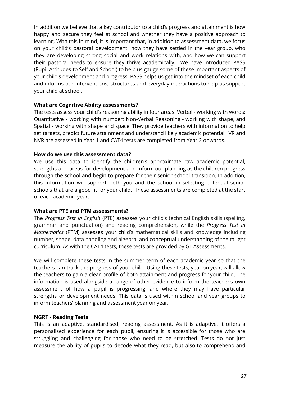In addition we believe that a key contributor to a child's progress and attainment is how happy and secure they feel at school and whether they have a positive approach to learning. With this in mind, it is important that, in addition to assessment data, we focus on your child's pastoral development; how they have settled in the year group, who they are developing strong social and work relations with, and how we can support their pastoral needs to ensure they thrive academically. We have introduced PASS (Pupil Attitudes to Self and School) to help us gauge some of these important aspects of your child's development and progress. PASS helps us get into the mindset of each child and informs our interventions, structures and everyday interactions to help us support your child at school.

#### **What are Cognitive Ability assessments?**

The tests assess your child's reasoning ability in four areas: Verbal - working with words; Quantitative - working with number; Non-Verbal Reasoning - working with shape, and Spatial - working with shape and space. They provide teachers with information to help set targets, predict future attainment and understand likely academic potential. VR and NVR are assessed in Year 1 and CAT4 tests are completed from Year 2 onwards.

#### **How do we use this assessment data?**

We use this data to identify the children's approximate raw academic potential, strengths and areas for development and inform our planning as the children progress through the school and begin to prepare for their senior school transition. In addition, this information will support both you and the school in selecting potential senior schools that are a good fit for your child. These assessments are completed at the start of each academic year.

#### **What are PTE and PTM assessments?**

The *Progress Test in English* (PTE) assesses your child's technical English skills (spelling, grammar and punctuation) and reading comprehension, while the *Progress Test in Mathematics* (PTM) assesses your child's mathematical skills and knowledge including number, shape, data handling and algebra, and conceptual understanding of the taught curriculum. As with the CAT4 tests, these tests are provided by GL Assessments.

We will complete these tests in the summer term of each academic year so that the teachers can track the progress of your child. Using these tests, year on year, will allow the teachers to gain a clear profile of both attainment and progress for your child. The information is used alongside a range of other evidence to inform the teacher's own assessment of how a pupil is progressing, and where they may have particular strengths or development needs. This data is used within school and year groups to inform teachers' planning and assessment year on year.

#### **NGRT - Reading Tests**

This is an adaptive, standardised, reading assessment. As it is adaptive, it offers a personalised experience for each pupil, ensuring it is accessible for those who are struggling and challenging for those who need to be stretched. Tests do not just measure the ability of pupils to decode what they read, but also to comprehend and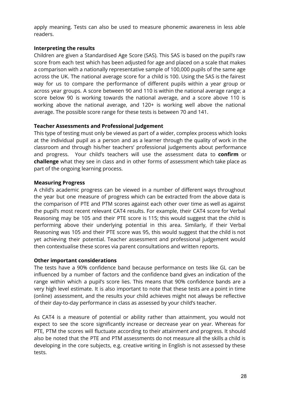apply meaning. Tests can also be used to measure phonemic awareness in less able readers.

#### **Interpreting the results**

Children are given a Standardised Age Score (SAS). This SAS is based on the pupil's raw score from each test which has been adjusted for age and placed on a scale that makes a comparison with a nationally representative sample of 100,000 pupils of the same age across the UK. The national average score for a child is 100. Using the SAS is the fairest way for us to compare the performance of different pupils within a year group or across year groups. A score between 90 and 110 is within the national average range; a score below 90 is working towards the national average, and a score above 110 is working above the national average, and 120+ is working well above the national average. The possible score range for these tests is between 70 and 141.

#### **Teacher Assessments and Professional Judgement**

This type of testing must only be viewed as part of a wider, complex process which looks at the individual pupil as a person and as a learner through the quality of work in the classroom and through his/her teachers' professional judgements about performance and progress. Your child's teachers will use the assessment data to **confirm** or **challenge** what they see in class and in other forms of assessment which take place as part of the ongoing learning process.

#### **Measuring Progress**

A child's academic progress can be viewed in a number of different ways throughout the year but one measure of progress which can be extracted from the above data is the comparison of PTE and PTM scores against each other over time as well as against the pupil's most recent relevant CAT4 results. For example, their CAT4 score for Verbal Reasoning may be 105 and their PTE score is 115; this would suggest that the child is performing above their underlying potential in this area. Similarly, if their Verbal Reasoning was 105 and their PTE score was 95, this would suggest that the child is not yet achieving their potential. Teacher assessment and professional judgement would then contextualise these scores via parent consultations and written reports.

#### **Other important considerations**

The tests have a 90% confidence band because performance on tests like GL can be influenced by a number of factors and the confidence band gives an indication of the range within which a pupil's score lies. This means that 90% confidence bands are a very high level estimate. It is also important to note that these tests are a point in time (online) assessment, and the results your child achieves might not always be reflective of their day-to-day performance in class as assessed by your child's teacher.

As CAT4 is a measure of potential or ability rather than attainment, you would not expect to see the score significantly increase or decrease year on year. Whereas for PTE, PTM the scores will fluctuate according to their attainment and progress. It should also be noted that the PTE and PTM assessments do not measure all the skills a child is developing in the core subjects, e.g. creative writing in English is not assessed by these tests.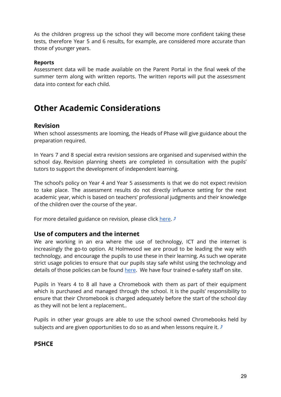As the children progress up the school they will become more confident taking these tests, therefore Year 5 and 6 results, for example, are considered more accurate than those of younger years.

#### **Reports**

Assessment data will be made available on the Parent Portal in the final week of the summer term along with written reports. The written reports will put the assessment data into context for each child.

# **Other Academic Considerations**

#### <span id="page-29-0"></span>**Revision**

When school assessments are looming, the Heads of Phase will give guidance about the preparation required.

In Years 7 and 8 special extra revision sessions are organised and supervised within the school day. Revision planning sheets are completed in consultation with the pupils' tutors to support the development of independent learning.

The school's policy on Year 4 and Year 5 assessments is that we do not expect revision to take place. The assessment results do not directly influence setting for the next academic year, which is based on teachers' professional judgments and their knowledge of the children over the course of the year.

For more detailed guidance on revision, please click [here](https://www.holmwood.house/pupil-resources/).  $\sqrt{ }$ 

#### <span id="page-29-1"></span>**Use of computers and the internet**

We are working in an era where the use of technology. ICT and the internet is increasingly the go-to option. At Holmwood we are proud to be leading the way with technology, and encourage the pupils to use these in their learning. As such we operate strict usage policies to ensure that our pupils stay safe whilst using the technology and details of those policies can be found [here](https://www.holmwood.house/about-us/policies-inspection-reports/). We have four trained e-safety staff on site.

Pupils in Years 4 to 8 all have a Chromebook with them as part of their equipment which is purchased and managed through the school. It is the pupils' responsibility to ensure that their Chromebook is charged adequately before the start of the school day as they will not be lent a replacement..

Pupils in other year groups are able to use the school owned Chromebooks held by subjects and are given opportunities to do so as and when lessons require it.  $\mathcal{I}$ 

# <span id="page-29-2"></span>**PSHCE**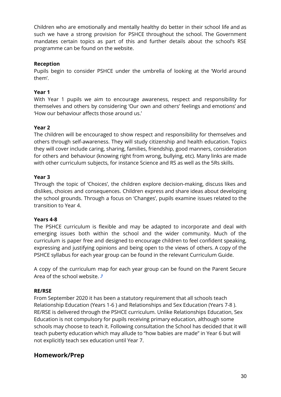Children who are emotionally and mentally healthy do better in their school life and as such we have a strong provision for PSHCE throughout the school. The Government mandates certain topics as part of this and further details about the school's RSE programme can be found on the website.

#### **Reception**

Pupils begin to consider PSHCE under the umbrella of looking at the 'World around them'.

#### **Year 1**

With Year 1 pupils we aim to encourage awareness, respect and responsibility for themselves and others by considering 'Our own and others' feelings and emotions' and 'How our behaviour affects those around us.'

#### **Year 2**

The children will be encouraged to show respect and responsibility for themselves and others through self-awareness. They will study citizenship and health education. Topics they will cover include caring, sharing, families, friendship, good manners, consideration for others and behaviour (knowing right from wrong, bullying, etc). Many links are made with other curriculum subjects, for instance Science and RS as well as the 5Rs skills.

#### **Year 3**

Through the topic of 'Choices', the children explore decision-making, discuss likes and dislikes, choices and consequences. Children express and share ideas about developing the school grounds. Through a focus on 'Changes', pupils examine issues related to the transition to Year 4.

#### **Years 4-8**

The PSHCE curriculum is flexible and may be adapted to incorporate and deal with emerging issues both within the school and the wider community. Much of the curriculum is paper free and designed to encourage children to feel confident speaking, expressing and justifying opinions and being open to the views of others. A copy of the PSHCE syllabus for each year group can be found in the relevant Curriculum Guide.

A copy of the curriculum map for each year group can be found on the Parent Secure Area of the school website.  $\sqrt{ }$ 

#### **RE/RSE**

From September 2020 it has been a statutory requirement that all schools teach Relationship Education (Years 1-6 ) and Relationships and Sex Education (Years 7-8 ). RE/RSE is delivered through the PSHCE curriculum. Unlike Relationships Education, Sex Education is not compulsory for pupils receiving primary education, although some schools may choose to teach it. Following consultation the School has decided that it will teach puberty education which may allude to "how babies are made" in Year 6 but will not explicitly teach sex education until Year 7.

# <span id="page-30-0"></span>**Homework/Prep**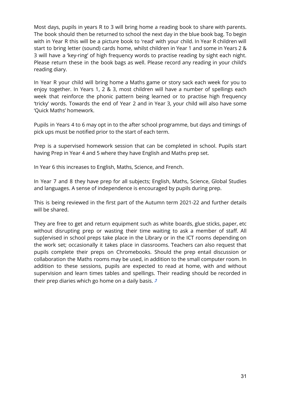Most days, pupils in years R to 3 will bring home a reading book to share with parents. The book should then be returned to school the next day in the blue book bag. To begin with in Year R this will be a picture book to 'read' with your child. In Year R children will start to bring letter (sound) cards home, whilst children in Year 1 and some in Years 2 & 3 will have a 'key-ring' of high frequency words to practise reading by sight each night. Please return these in the book bags as well. Please record any reading in your child's reading diary.

In Year R your child will bring home a Maths game or story sack each week for you to enjoy together. In Years 1, 2 & 3, most children will have a number of spellings each week that reinforce the phonic pattern being learned or to practise high frequency 'tricky' words. Towards the end of Year 2 and in Year 3, your child will also have some 'Quick Maths' homework.

Pupils in Years 4 to 6 may opt in to the after school programme, but days and timings of pick ups must be notified prior to the start of each term.

Prep is a supervised homework session that can be completed in school. Pupils start having Prep in Year 4 and 5 where they have English and Maths prep set.

In Year 6 this increases to English, Maths, Science, and French.

In Year 7 and 8 they have prep for all subjects; English, Maths, Science, Global Studies and languages. A sense of independence is encouraged by pupils during prep.

This is being reviewed in the first part of the Autumn term 2021-22 and further details will be shared.

They are free to get and return equipment such as white boards, glue sticks, paper, etc without disrupting prep or wasting their time waiting to ask a member of staff. All sup[ervised in school preps take place in the Library or in the ICT rooms depending on the work set; occasionally it takes place in classrooms. Teachers can also request that pupils complete their preps on Chromebooks. Should the prep entail discussion or collaboration the Maths rooms may be used, in addition to the small computer room. In addition to these sessions, pupils are expected to read at home, with and without supervision and learn times tables and spellings. Their reading should be recorded in their prep diaries which go home on a daily basis.  $\mathcal{I}$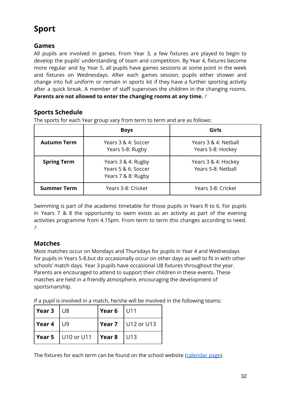# **Sport**

# **Games**

All pupils are involved in games. From Year 3, a few fixtures are played to begin to develop the pupils' understanding of team and competition. By Year 4, fixtures become more regular and by Year 5, all pupils have games sessions at some point in the week and fixtures on Wednesdays. After each games session, pupils either shower and change into full uniform or remain in sports kit if they have a further sporting activity after a quick break. A member of staff supervises the children in the changing rooms. **Parents are not allowed to enter the changing rooms at any time.** [⤴](#page-1-0)

# <span id="page-32-0"></span>**Sports Schedule**

The sports for each Year group vary from term to term and are as follows:

|                    | <b>Boys</b>                                                     | Girls                                     |
|--------------------|-----------------------------------------------------------------|-------------------------------------------|
| <b>Autumn Term</b> | Years 3 & 4: Soccer<br>Years 5-8: Rugby                         | Years 3 & 4: Netball<br>Years 5-8: Hockey |
| <b>Spring Term</b> | Years 3 & 4: Rugby<br>Years 5 & 6: Soccer<br>Years 7 & 8: Rugby | Years 3 & 4: Hockey<br>Years 5-8: Netball |
| <b>Summer Term</b> | Years 3-8: Cricket                                              | Years 3-8: Cricket                        |

Swimming is part of the academic timetable for those pupils in Years R to 6. For pupils in Years 7 & 8 the opportunity to swim exists as an activity as part of the evening activities programme from 4.15pm. From term to term this changes according to need. [⤴](#page-1-0)

# <span id="page-32-1"></span>**Matches**

Most matches occur on Mondays and Thursdays for pupils in Year 4 and Wednesdays for pupils in Years 5-8,but do occasionally occur on other days as well to fit in with other schools' match days. Year 3 pupils have occasional U8 fixtures throughout the year. Parents are encouraged to attend to support their children in these events. These matches are held in a friendly atmosphere, encouraging the development of sportsmanship.

If a pupil is involved in a match, he/she will be involved in the following teams:

| $\vert$ Year 3 $\vert$ U8 |                                     | $\vert$ Year 6 $\vert$ U11  |                                      |
|---------------------------|-------------------------------------|-----------------------------|--------------------------------------|
| Year 4                    | U9                                  |                             | $\sqrt{$ Year 7 $\sqrt{}$ U12 or U13 |
|                           | $\sqrt{$ Year 5 $\sqrt{$ U10 or U11 | $\sqrt{\frac{2}{1}}$ Year 8 | U13                                  |

The fixtures for each term can be found on the school website ([calendar](https://www.holmwood.house/parents/calendar/) page).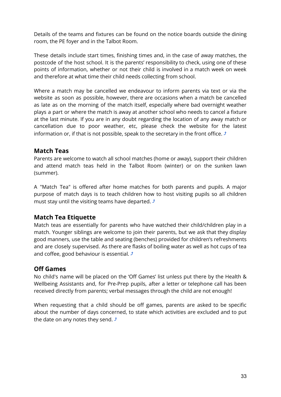Details of the teams and fixtures can be found on the notice boards outside the dining room, the PE foyer and in the Talbot Room.

These details include start times, finishing times and, in the case of away matches, the postcode of the host school. It is the parents' responsibility to check, using one of these points of information, whether or not their child is involved in a match week on week and therefore at what time their child needs collecting from school.

Where a match may be cancelled we endeavour to inform parents via text or via the website as soon as possible, however, there are occasions when a match be cancelled as late as on the morning of the match itself, especially where bad overnight weather plays a part or where the match is away at another school who needs to cancel a fixture at the last minute. If you are in any doubt regarding the location of any away match or cancellation due to poor weather, etc, please check the website for the latest information or, if that is not possible, speak to the secretary in the front office.  $\triangle$ 

# <span id="page-33-0"></span>**Match Teas**

Parents are welcome to watch all school matches (home or away), support their children and attend match teas held in the Talbot Room (winter) or on the sunken lawn (summer).

A "Match Tea" is offered after home matches for both parents and pupils. A major purpose of match days is to teach children how to host visiting pupils so all children must stay until the visiting teams have departed.  $\triangle$ 

# <span id="page-33-1"></span>**Match Tea Etiquette**

Match teas are essentially for parents who have watched their child/children play in a match. Younger siblings are welcome to join their parents, but we ask that they display good manners, use the table and seating (benches) provided for children's refreshments and are closely supervised. As there are flasks of boiling water as well as hot cups of tea and coffee, good behaviour is essential.  $\sqrt{ }$ 

# <span id="page-33-2"></span>**Off Games**

No child's name will be placed on the 'Off Games' list unless put there by the Health & Wellbeing Assistants and, for Pre-Prep pupils, after a letter or telephone call has been received directly from parents; verbal messages through the child are not enough!

When requesting that a child should be off games, parents are asked to be specific about the number of days concerned, to state which activities are excluded and to put the date on any notes they send.  $\sqrt{ }$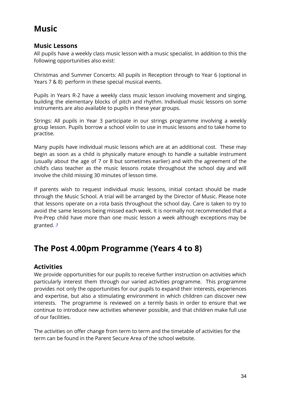# **Music**

## <span id="page-34-0"></span>**Music Lessons**

All pupils have a weekly class music lesson with a music specialist. In addition to this the following opportunities also exist:

Christmas and Summer Concerts: All pupils in Reception through to Year 6 (optional in Years 7 & 8) perform in these special musical events.

Pupils in Years R-2 have a weekly class music lesson involving movement and singing, building the elementary blocks of pitch and rhythm. Individual music lessons on some instruments are also available to pupils in these year groups.

Strings: All pupils in Year 3 participate in our strings programme involving a weekly group lesson. Pupils borrow a school violin to use in music lessons and to take home to practise.

Many pupils have individual music lessons which are at an additional cost. These may begin as soon as a child is physically mature enough to handle a suitable instrument (usually about the age of 7 or 8 but sometimes earlier) and with the agreement of the child's class teacher as the music lessons rotate throughout the school day and will involve the child missing 30 minutes of lesson time.

If parents wish to request individual music lessons, initial contact should be made through the Music School. A trial will be arranged by the Director of Music. Please note that lessons operate on a rota basis throughout the school day. Care is taken to try to avoid the same lessons being missed each week. It is normally not recommended that a Pre-Prep child have more than one music lesson a week although exceptions may be granted.  $\sqrt{ }$ 

# **The Post 4.00pm Programme (Years 4 to 8)**

# <span id="page-34-1"></span>**Activities**

We provide opportunities for our pupils to receive further instruction on activities which particularly interest them through our varied activities programme. This programme provides not only the opportunities for our pupils to expand their interests, experiences and expertise, but also a stimulating environment in which children can discover new interests. The programme is reviewed on a termly basis in order to ensure that we continue to introduce new activities whenever possible, and that children make full use of our facilities.

The activities on offer change from term to term and the timetable of activities for the term can be found in the Parent Secure Area of the school website.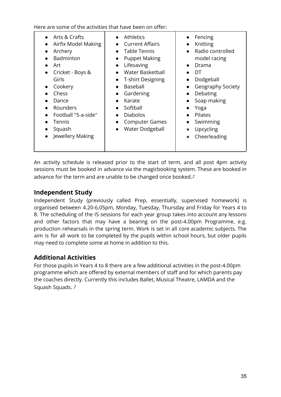Here are some of the activities that have been on offer:

| Arts & Crafts<br>Airfix Model Making<br>Archery<br>Badminton<br>Art<br>Cricket - Boys &<br>Girls<br>Cookery<br>Chess<br>Dance<br>Rounders<br>Football "5-a-side"<br>Tennis<br>Squash<br>Jewellery Making | <b>Athletics</b><br><b>Current Affairs</b><br><b>Table Tennis</b><br><b>Puppet Making</b><br>$\bullet$<br>Lifesaving<br>$\bullet$<br><b>Water Basketball</b><br>T-shirt Designing<br>$\bullet$<br>Baseball<br>$\bullet$<br>Gardening<br>Karate<br>Softball<br><b>Diabolos</b><br><b>Computer Games</b><br>$\bullet$<br><b>Water Dodgeball</b><br>$\bullet$ | Fencing<br>Knitting<br>Radio controlled<br>model racing<br>Drama<br>DT<br>Dodgeball<br>Geography Society<br>Debating<br>Soap making<br>Yoga<br><b>Pilates</b><br>Swimming<br>Upcycling<br>Cheerleading |
|----------------------------------------------------------------------------------------------------------------------------------------------------------------------------------------------------------|------------------------------------------------------------------------------------------------------------------------------------------------------------------------------------------------------------------------------------------------------------------------------------------------------------------------------------------------------------|--------------------------------------------------------------------------------------------------------------------------------------------------------------------------------------------------------|
|----------------------------------------------------------------------------------------------------------------------------------------------------------------------------------------------------------|------------------------------------------------------------------------------------------------------------------------------------------------------------------------------------------------------------------------------------------------------------------------------------------------------------------------------------------------------------|--------------------------------------------------------------------------------------------------------------------------------------------------------------------------------------------------------|

An activity schedule is released prior to the start of term, and all post 4pm activity sessions must be booked in advance via the magicbooking system. These are booked in advance for the term and are unable to be changed once booked. $\mathcal{I}$ 

# <span id="page-35-0"></span>**Independent Study**

Independent Study (previously called Prep, essentially, supervised homework) is organised between 4.20-6.05pm, Monday, Tuesday, Thursday and Friday for Years 4 to 8. The scheduling of the IS sessions for each year group takes into account any lessons and other factors that may have a bearing on the post-4.00pm Programme, e.g. production rehearsals in the spring term. Work is set in all core academic subjects. The aim is for all work to be completed by the pupils within school hours, but older pupils may need to complete some at home in addition to this.

# <span id="page-35-1"></span>**Additional Activities**

For those pupils in Years 4 to 8 there are a few additional activities in the post-4.00pm programme which are offered by external members of staff and for which parents pay the coaches directly. Currently this includes Ballet, Musical Theatre, LAMDA and the Squash Squads.  $\sqrt{ }$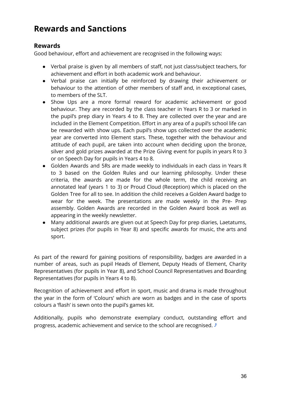# **Rewards and Sanctions**

# <span id="page-36-0"></span>**Rewards**

Good behaviour, effort and achievement are recognised in the following ways:

- Verbal praise is given by all members of staff, not just class/subject teachers, for achievement and effort in both academic work and behaviour.
- Verbal praise can initially be reinforced by drawing their achievement or behaviour to the attention of other members of staff and, in exceptional cases, to members of the SLT.
- Show Ups are a more formal reward for academic achievement or good behaviour. They are recorded by the class teacher in Years R to 3 or marked in the pupil's prep diary in Years 4 to 8. They are collected over the year and are included in the Element Competition. Effort in any area of a pupil's school life can be rewarded with show ups. Each pupil's show ups collected over the academic year are converted into Element stars. These, together with the behaviour and attitude of each pupil, are taken into account when deciding upon the bronze, silver and gold prizes awarded at the Prize Giving event for pupils in years R to 3 or on Speech Day for pupils in Years 4 to 8.
- Golden Awards and 5Rs are made weekly to individuals in each class in Years R to 3 based on the Golden Rules and our learning philosophy. Under these criteria, the awards are made for the whole term, the child receiving an annotated leaf (years 1 to 3) or Proud Cloud (Reception) which is placed on the Golden Tree for all to see. In addition the child receives a Golden Award badge to wear for the week. The presentations are made weekly in the Pre- Prep assembly. Golden Awards are recorded in the Golden Award book as well as appearing in the weekly newsletter.
- Many additional awards are given out at Speech Day for prep diaries, Laetatums, subject prizes (for pupils in Year 8) and specific awards for music, the arts and sport.

As part of the reward for gaining positions of responsibility, badges are awarded in a number of areas, such as pupil Heads of Element, Deputy Heads of Element, Charity Representatives (for pupils in Year 8), and School Council Representatives and Boarding Representatives (for pupils in Years 4 to 8).

Recognition of achievement and effort in sport, music and drama is made throughout the year in the form of 'Colours' which are worn as badges and in the case of sports colours a 'flash' is sewn onto the pupil's games kit.

Additionally, pupils who demonstrate exemplary conduct, outstanding effort and progress, academic achievement and service to the school are recognised.  $\triangle$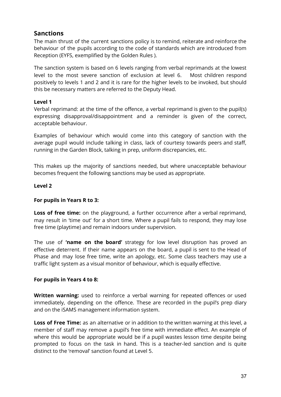# <span id="page-37-0"></span>**Sanctions**

The main thrust of the current sanctions policy is to remind, reiterate and reinforce the behaviour of the pupils according to the code of standards which are introduced from Reception (EYFS, exemplified by the Golden Rules ).

The sanction system is based on 6 levels ranging from verbal reprimands at the lowest level to the most severe sanction of exclusion at level 6. Most children respond positively to levels 1 and 2 and it is rare for the higher levels to be invoked, but should this be necessary matters are referred to the Deputy Head.

#### **Level 1**

Verbal reprimand: at the time of the offence, a verbal reprimand is given to the pupil(s) expressing disapproval/disappointment and a reminder is given of the correct, acceptable behaviour.

Examples of behaviour which would come into this category of sanction with the average pupil would include talking in class, lack of courtesy towards peers and staff, running in the Garden Block, talking in prep, uniform discrepancies, etc.

This makes up the majority of sanctions needed, but where unacceptable behaviour becomes frequent the following sanctions may be used as appropriate.

#### **Level 2**

#### **For pupils in Years R to 3:**

**Loss of free time:** on the playground, a further occurrence after a verbal reprimand, may result in 'time out' for a short time. Where a pupil fails to respond, they may lose free time (playtime) and remain indoors under supervision.

The use of **'name on the board'** strategy for low level disruption has proved an effective deterrent. If their name appears on the board, a pupil is sent to the Head of Phase and may lose free time, write an apology, etc. Some class teachers may use a traffic light system as a visual monitor of behaviour, which is equally effective.

#### **For pupils in Years 4 to 8:**

**Written warning:** used to reinforce a verbal warning for repeated offences or used immediately, depending on the offence. These are recorded in the pupil's prep diary and on the iSAMS management information system.

**Loss of Free Time:** as an alternative or in addition to the written warning at this level, a member of staff may remove a pupil's free time with immediate effect. An example of where this would be appropriate would be if a pupil wastes lesson time despite being prompted to focus on the task in hand. This is a teacher-led sanction and is quite distinct to the 'removal' sanction found at Level 5.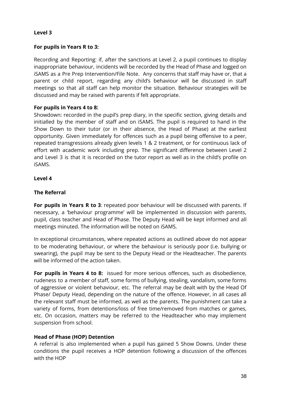#### **Level 3**

#### **For pupils in Years R to 3:**

Recording and Reporting: if, after the sanctions at Level 2, a pupil continues to display inappropriate behaviour, incidents will be recorded by the Head of Phase and logged on iSAMS as a Pre Prep Intervention/File Note. Any concerns that staff may have or, that a parent or child report, regarding any child's behaviour will be discussed in staff meetings so that all staff can help monitor the situation. Behaviour strategies will be discussed and may be raised with parents if felt appropriate.

#### **For pupils in Years 4 to 8:**

Showdown: recorded in the pupil's prep diary, in the specific section, giving details and initialled by the member of staff and on iSAMS. The pupil is required to hand in the Show Down to their tutor (or in their absence, the Head of Phase) at the earliest opportunity. Given immediately for offences such as a pupil being offensive to a peer, repeated transgressions already given levels 1 & 2 treatment, or for continuous lack of effort with academic work including prep. The significant difference between Level 2 and Level 3 is that it is recorded on the tutor report as well as in the child's profile on iSAMS.

#### **Level 4**

#### **The Referral**

**For pupils in Years R to 3**: repeated poor behaviour will be discussed with parents. If necessary, a 'behaviour programme' will be implemented in discussion with parents, pupil, class teacher and Head of Phase. The Deputy Head will be kept informed and all meetings minuted. The information will be noted on iSAMS.

In exceptional circumstances, where repeated actions as outlined above do not appear to be moderating behaviour, or where the behaviour is seriously poor (i.e. bullying or swearing), the pupil may be sent to the Deputy Head or the Headteacher. The parents will be informed of the action taken.

**For pupils in Years 4 to 8:** issued for more serious offences, such as disobedience, rudeness to a member of staff, some forms of bullying, stealing, vandalism, some forms of aggressive or violent behaviour, etc. The referral may be dealt with by the Head Of Phase/ Deputy Head, depending on the nature of the offence. However, in all cases all the relevant staff must be informed, as well as the parents. The punishment can take a variety of forms, from detentions/loss of free time/removed from matches or games, etc. On occasion, matters may be referred to the Headteacher who may implement suspension from school.

#### **Head of Phase (HOP) Detention**

A referral is also implemented when a pupil has gained 5 Show Downs. Under these conditions the pupil receives a HOP detention following a discussion of the offences with the HOP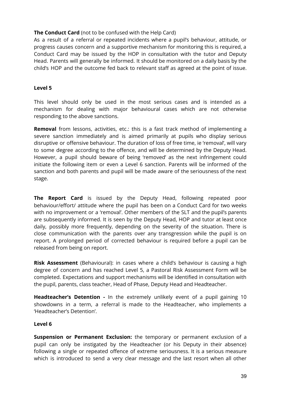#### **The Conduct Card** (not to be confused with the Help Card)

As a result of a referral or repeated incidents where a pupil's behaviour, attitude, or progress causes concern and a supportive mechanism for monitoring this is required, a Conduct Card may be issued by the HOP in consultation with the tutor and Deputy Head. Parents will generally be informed. It should be monitored on a daily basis by the child's HOP and the outcome fed back to relevant staff as agreed at the point of issue.

#### **Level 5**

This level should only be used in the most serious cases and is intended as a mechanism for dealing with major behavioural cases which are not otherwise responding to the above sanctions.

**Removal** from lessons, activities, etc.: this is a fast track method of implementing a severe sanction immediately and is aimed primarily at pupils who display serious disruptive or offensive behaviour. The duration of loss of free time, ie 'removal', will vary to some degree according to the offence, and will be determined by the Deputy Head. However, a pupil should beware of being 'removed' as the next infringement could initiate the following item or even a Level 6 sanction. Parents will be informed of the sanction and both parents and pupil will be made aware of the seriousness of the next stage.

**The Report Card** is issued by the Deputy Head, following repeated poor behaviour/effort/ attitude where the pupil has been on a Conduct Card for two weeks with no improvement or a 'removal'. Other members of the SLT and the pupil's parents are subsequently informed. It is seen by the Deputy Head, HOP and tutor at least once daily, possibly more frequently, depending on the severity of the situation. There is close communication with the parents over any transgression while the pupil is on report. A prolonged period of corrected behaviour is required before a pupil can be released from being on report.

**Risk Assessment** (Behavioural): in cases where a child's behaviour is causing a high degree of concern and has reached Level 5, a Pastoral Risk Assessment Form will be completed. Expectations and support mechanisms will be identified in consultation with the pupil, parents, class teacher, Head of Phase, Deputy Head and Headteacher.

**Headteacher's Detention -** In the extremely unlikely event of a pupil gaining 10 showdowns in a term, a referral is made to the Headteacher, who implements a 'Headteacher's Detention'.

#### **Level 6**

**Suspension or Permanent Exclusion:** the temporary or permanent exclusion of a pupil can only be instigated by the Headteacher (or his Deputy in their absence) following a single or repeated offence of extreme seriousness. It is a serious measure which is introduced to send a very clear message and the last resort when all other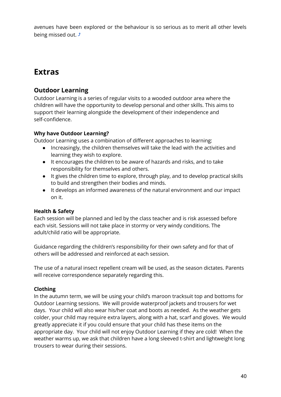avenues have been explored or the behaviour is so serious as to merit all other levels being missed out.  $\sqrt{ }$ 

# **Extras**

# **Outdoor Learning**

Outdoor Learning is a series of regular visits to a wooded outdoor area where the children will have the opportunity to develop personal and other skills. This aims to support their learning alongside the development of their independence and self-confidence.

## **Why have Outdoor Learning?**

Outdoor Learning uses a combination of different approaches to learning:

- Increasingly, the children themselves will take the lead with the activities and learning they wish to explore.
- It encourages the children to be aware of hazards and risks, and to take responsibility for themselves and others.
- It gives the children time to explore, through play, and to develop practical skills to build and strengthen their bodies and minds.
- It develops an informed awareness of the natural environment and our impact on it.

# **Health & Safety**

Each session will be planned and led by the class teacher and is risk assessed before each visit. Sessions will not take place in stormy or very windy conditions. The adult/child ratio will be appropriate.

Guidance regarding the children's responsibility for their own safety and for that of others will be addressed and reinforced at each session.

The use of a natural insect repellent cream will be used, as the season dictates. Parents will receive correspondence separately regarding this.

# **Clothing**

In the autumn term, we will be using your child's maroon tracksuit top and bottoms for Outdoor Learning sessions. We will provide waterproof jackets and trousers for wet days. Your child will also wear his/her coat and boots as needed. As the weather gets colder, your child may require extra layers, along with a hat, scarf and gloves. We would greatly appreciate it if you could ensure that your child has these items on the appropriate day. Your child will not enjoy Outdoor Learning if they are cold! When the weather warms up, we ask that children have a long sleeved t-shirt and lightweight long trousers to wear during their sessions.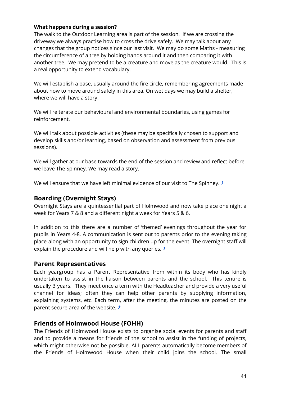#### **What happens during a session?**

The walk to the Outdoor Learning area is part of the session. If we are crossing the driveway we always practise how to cross the drive safely. We may talk about any changes that the group notices since our last visit. We may do some Maths - measuring the circumference of a tree by holding hands around it and then comparing it with another tree. We may pretend to be a creature and move as the creature would. This is a real opportunity to extend vocabulary.

We will establish a base, usually around the fire circle, remembering agreements made about how to move around safely in this area. On wet days we may build a shelter, where we will have a story.

We will reiterate our behavioural and environmental boundaries, using games for reinforcement.

We will talk about possible activities (these may be specifically chosen to support and develop skills and/or learning, based on observation and assessment from previous sessions).

We will gather at our base towards the end of the session and review and reflect before we leave The Spinney. We may read a story.

We will ensure that we have left minimal evidence of our visit to The Spinney.  $\triangle$ 

## <span id="page-41-0"></span>**Boarding (Overnight Stays)**

Overnight Stays are a quintessential part of Holmwood and now take place one night a week for Years 7 & 8 and a different night a week for Years 5 & 6.

In addition to this there are a number of 'themed' evenings throughout the year for pupils in Years 4-8. A communication is sent out to parents prior to the evening taking place along with an opportunity to sign children up for the event. The overnight staff will explain the procedure and will help with any queries.  $\sqrt{s}$ 

#### <span id="page-41-1"></span>**Parent Representatives**

Each yeargroup has a Parent Representative from within its body who has kindly undertaken to assist in the liaison between parents and the school. This tenure is usually 3 years. They meet once a term with the Headteacher and provide a very useful channel for ideas; often they can help other parents by supplying information, explaining systems, etc. Each term, after the meeting, the minutes are posted on the parent secure area of the website.  $\triangle$ 

# <span id="page-41-2"></span>**Friends of Holmwood House (FOHH)**

The Friends of Holmwood House exists to organise social events for parents and staff and to provide a means for friends of the school to assist in the funding of projects, which might otherwise not be possible. ALL parents automatically become members of the Friends of Holmwood House when their child joins the school. The small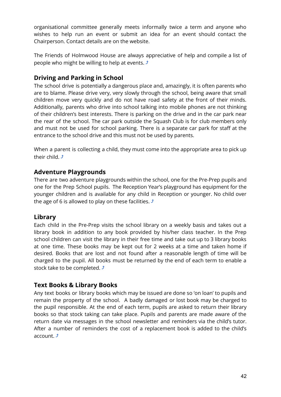organisational committee generally meets informally twice a term and anyone who wishes to help run an event or submit an idea for an event should contact the Chairperson. Contact details are on the website.

The Friends of Holmwood House are always appreciative of help and compile a list of people who might be willing to help at events.  $\sqrt{s}$ 

# <span id="page-42-0"></span>**Driving and Parking in School**

The school drive is potentially a dangerous place and, amazingly, it is often parents who are to blame. Please drive very, very slowly through the school, being aware that small children move very quickly and do not have road safety at the front of their minds. Additionally, parents who drive into school talking into mobile phones are not thinking of their children's best interests. There is parking on the drive and in the car park near the rear of the school. The car park outside the Squash Club is for club members only and must not be used for school parking. There is a separate car park for staff at the entrance to the school drive and this must not be used by parents.

When a parent is collecting a child, they must come into the appropriate area to pick up their child.  $\hat{J}$ 

# <span id="page-42-1"></span>**Adventure Playgrounds**

There are two adventure playgrounds within the school, one for the Pre-Prep pupils and one for the Prep School pupils. The Reception Year's playground has equipment for the younger children and is available for any child in Reception or younger. No child over the age of 6 is allowed to play on these facilities.  $\sqrt{ }$ 

# <span id="page-42-2"></span>**Library**

Each child in the Pre-Prep visits the school library on a weekly basis and takes out a library book in addition to any book provided by his/her class teacher. In the Prep school children can visit the library in their free time and take out up to 3 library books at one time. These books may be kept out for 2 weeks at a time and taken home if desired. Books that are lost and not found after a reasonable length of time will be charged to the pupil. All books must be returned by the end of each term to enable a stock take to be completed.  $\sqrt{ }$ 

# <span id="page-42-3"></span>**Text Books & Library Books**

Any text books or library books which may be issued are done so 'on loan' to pupils and remain the property of the school. A badly damaged or lost book may be charged to the pupil responsible. At the end of each term, pupils are asked to return their library books so that stock taking can take place. Pupils and parents are made aware of the return date via messages in the school newsletter and reminders via the child's tutor. After a number of reminders the cost of a replacement book is added to the child's account.  $\hat{J}$